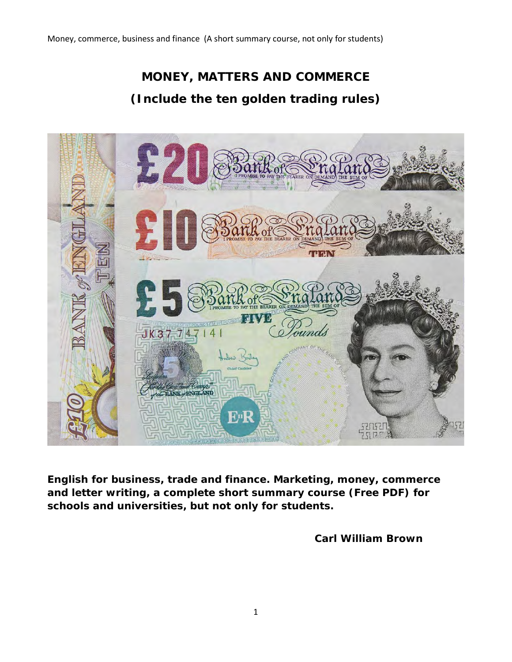# **MONEY, MATTERS AND COMMERCE (Include the ten golden trading rules)**



**English for business, trade and finance. Marketing, money, commerce and letter writing, a complete short summary course (Free PDF) for schools and universities, but not only for students.**

 **Carl William Brown**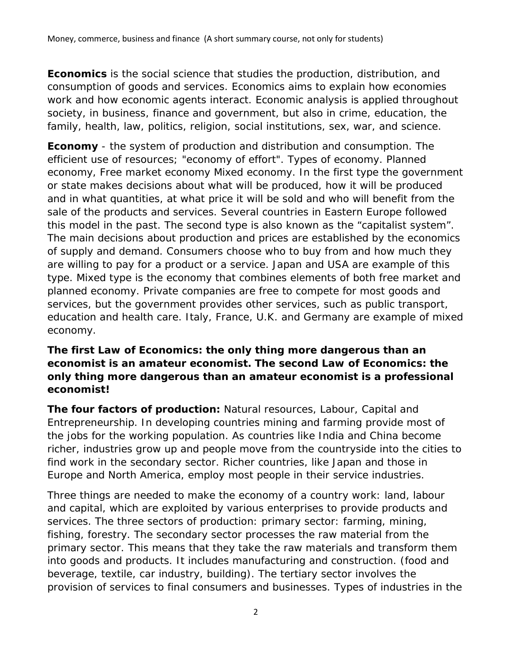**Economics** is the social science that studies the production, distribution, and consumption of goods and services. Economics aims to explain how economies work and how economic agents interact. Economic analysis is applied throughout society, in business, finance and government, but also in crime, education, the family, health, law, politics, religion, social institutions, sex, war, and science.

**Economy** - the system of production and distribution and consumption. The efficient use of resources; "economy of effort". Types of economy. Planned economy, Free market economy Mixed economy. In the first type the government or state makes decisions about what will be produced, how it will be produced and in what quantities, at what price it will be sold and who will benefit from the sale of the products and services. Several countries in Eastern Europe followed this model in the past. The second type is also known as the "capitalist system". The main decisions about production and prices are established by the economics of supply and demand. Consumers choose who to buy from and how much they are willing to pay for a product or a service. Japan and USA are example of this type. Mixed type is the economy that combines elements of both free market and planned economy. Private companies are free to compete for most goods and services, but the government provides other services, such as public transport, education and health care. Italy, France, U.K. and Germany are example of mixed economy.

## **The first Law of Economics: the only thing more dangerous than an economist is an amateur economist. The second Law of Economics: the only thing more dangerous than an amateur economist is a professional economist!**

**The four factors of production:** Natural resources, Labour, Capital and Entrepreneurship. In developing countries mining and farming provide most of the jobs for the working population. As countries like India and China become richer, industries grow up and people move from the countryside into the cities to find work in the secondary sector. Richer countries, like Japan and those in Europe and North America, employ most people in their service industries.

Three things are needed to make the economy of a country work: land, labour and capital, which are exploited by various enterprises to provide products and services. The three sectors of production: primary sector: farming, mining, fishing, forestry. The secondary sector processes the raw material from the primary sector. This means that they take the raw materials and transform them into goods and products. It includes manufacturing and construction. (food and beverage, textile, car industry, building). The tertiary sector involves the provision of services to final consumers and businesses. Types of industries in the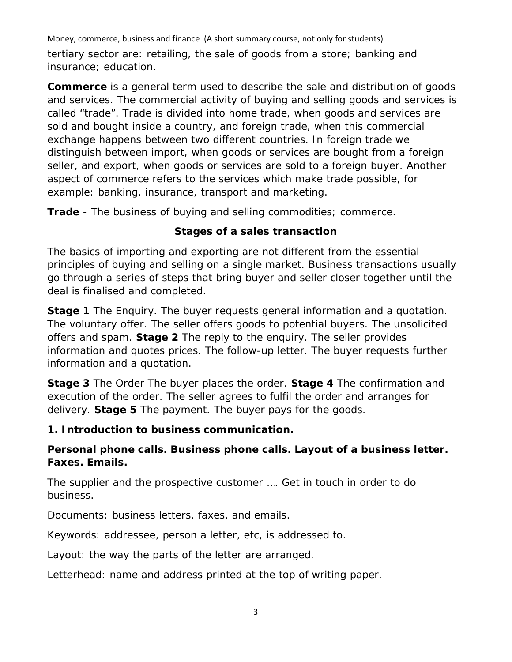Money, commerce, business and finance (A short summary course, not only for students) tertiary sector are: retailing, the sale of goods from a store; banking and insurance; education.

**Commerce** is a general term used to describe the sale and distribution of goods and services. The commercial activity of buying and selling goods and services is called "trade". Trade is divided into home trade, when goods and services are sold and bought inside a country, and foreign trade, when this commercial exchange happens between two different countries. In foreign trade we distinguish between import, when goods or services are bought from a foreign seller, and export, when goods or services are sold to a foreign buyer. Another aspect of commerce refers to the services which make trade possible, for example: banking, insurance, transport and marketing.

**Trade** - The business of buying and selling commodities; commerce.

# **Stages of a sales transaction**

The basics of importing and exporting are not different from the essential principles of buying and selling on a single market. Business transactions usually go through a series of steps that bring buyer and seller closer together until the deal is finalised and completed.

**Stage 1** The Enquiry. The buyer requests general information and a quotation. The voluntary offer. The seller offers goods to potential buyers. The unsolicited offers and spam. **Stage 2** The reply to the enquiry. The seller provides information and quotes prices. The follow-up letter. The buyer requests further information and a quotation.

**Stage 3** The Order The buyer places the order. **Stage 4** The confirmation and execution of the order. The seller agrees to fulfil the order and arranges for delivery. **Stage 5** The payment. The buyer pays for the goods.

# **1. Introduction to business communication.**

# **Personal phone calls. Business phone calls. Layout of a business letter. Faxes. Emails.**

The supplier and the prospective customer …. Get in touch in order to do business.

Documents: business letters, faxes, and emails.

Keywords: addressee, person a letter, etc, is addressed to.

Layout: the way the parts of the letter are arranged.

Letterhead: name and address printed at the top of writing paper.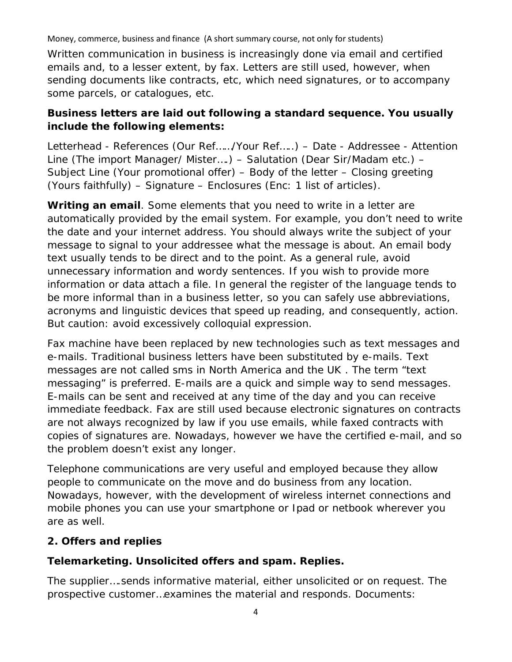Written communication in business is increasingly done via email and certified emails and, to a lesser extent, by fax. Letters are still used, however, when sending documents like contracts, etc, which need signatures, or to accompany some parcels, or catalogues, etc.

# **Business letters are laid out following a standard sequence. You usually include the following elements:**

Letterhead - References (Our Ref……/Your Ref…..) – Date - Addressee - Attention Line (The import Manager/ Mister….) – Salutation (Dear Sir/Madam etc.) – Subject Line (Your promotional offer) – Body of the letter – Closing greeting (Yours faithfully) – Signature – Enclosures (Enc: 1 list of articles).

**Writing an email**. Some elements that you need to write in a letter are automatically provided by the email system. For example, you don't need to write the date and your internet address. You should always write the subject of your message to signal to your addressee what the message is about. An email body text usually tends to be direct and to the point. As a general rule, avoid unnecessary information and wordy sentences. If you wish to provide more information or data attach a file. In general the register of the language tends to be more informal than in a business letter, so you can safely use abbreviations, acronyms and linguistic devices that speed up reading, and consequently, action. But caution: avoid excessively colloquial expression.

Fax machine have been replaced by new technologies such as text messages and e-mails. Traditional business letters have been substituted by e-mails. Text messages are not called sms in North America and the UK . The term "text messaging" is preferred. E-mails are a quick and simple way to send messages. E-mails can be sent and received at any time of the day and you can receive immediate feedback. Fax are still used because electronic signatures on contracts are not always recognized by law if you use emails, while faxed contracts with copies of signatures are. Nowadays, however we have the certified e-mail, and so the problem doesn't exist any longer.

Telephone communications are very useful and employed because they allow people to communicate on the move and do business from any location. Nowadays, however, with the development of wireless internet connections and mobile phones you can use your smartphone or Ipad or netbook wherever you are as well.

# **2. Offers and replies**

# **Telemarketing. Unsolicited offers and spam. Replies.**

The supplier….sends informative material, either unsolicited or on request. The prospective customer…examines the material and responds. Documents: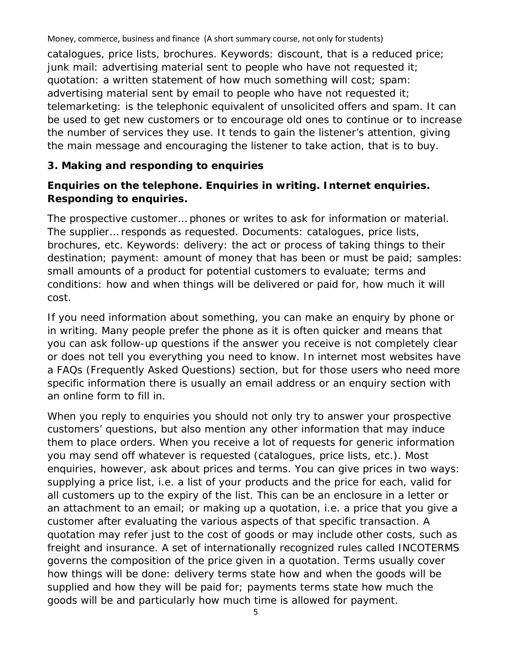Money, commerce, business and finance (A short summary course, not only for students) catalogues, price lists, brochures. Keywords: discount, that is a reduced price; junk mail: advertising material sent to people who have not requested it; quotation: a written statement of how much something will cost; spam: advertising material sent by email to people who have not requested it; telemarketing: is the telephonic equivalent of unsolicited offers and spam. It can be used to get new customers or to encourage old ones to continue or to increase the number of services they use. It tends to gain the listener's attention, giving the main message and encouraging the listener to take action, that is to buy.

#### **3. Making and responding to enquiries**

# **Enquiries on the telephone. Enquiries in writing. Internet enquiries. Responding to enquiries.**

The prospective customer… phones or writes to ask for information or material. The supplier… responds as requested. Documents: catalogues, price lists, brochures, etc. Keywords: delivery: the act or process of taking things to their destination; payment: amount of money that has been or must be paid; samples: small amounts of a product for potential customers to evaluate; terms and conditions: how and when things will be delivered or paid for, how much it will cost.

If you need information about something, you can make an enquiry by phone or in writing. Many people prefer the phone as it is often quicker and means that you can ask follow-up questions if the answer you receive is not completely clear or does not tell you everything you need to know. In internet most websites have a FAQs (Frequently Asked Questions) section, but for those users who need more specific information there is usually an email address or an enquiry section with an online form to fill in.

When you reply to enquiries you should not only try to answer your prospective customers' questions, but also mention any other information that may induce them to place orders. When you receive a lot of requests for generic information you may send off whatever is requested (catalogues, price lists, etc.). Most enquiries, however, ask about prices and terms. You can give prices in two ways: supplying a price list, i.e. a list of your products and the price for each, valid for all customers up to the expiry of the list. This can be an enclosure in a letter or an attachment to an email; or making up a quotation, i.e. a price that you give a customer after evaluating the various aspects of that specific transaction. A quotation may refer just to the cost of goods or may include other costs, such as freight and insurance. A set of internationally recognized rules called INCOTERMS governs the composition of the price given in a quotation. Terms usually cover how things will be done: delivery terms state how and when the goods will be supplied and how they will be paid for; payments terms state how much the goods will be and particularly how much time is allowed for payment.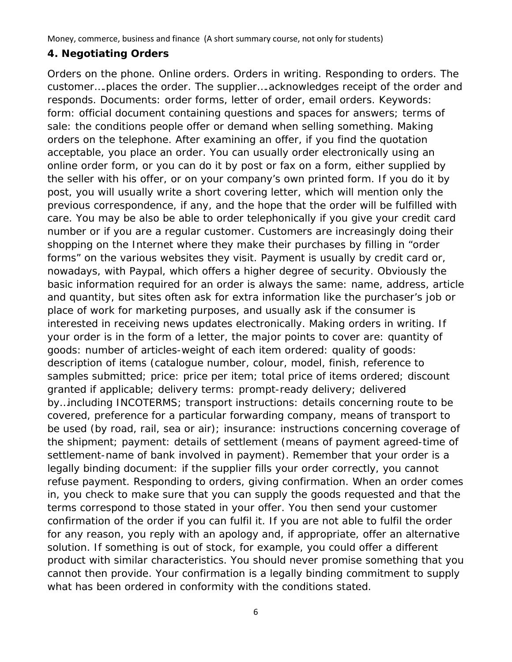#### **4. Negotiating Orders**

Orders on the phone. Online orders. Orders in writing. Responding to orders. The customer….places the order. The supplier….acknowledges receipt of the order and responds. Documents: order forms, letter of order, email orders. Keywords: form: official document containing questions and spaces for answers; terms of sale: the conditions people offer or demand when selling something. Making orders on the telephone. After examining an offer, if you find the quotation acceptable, you place an order. You can usually order electronically using an online order form, or you can do it by post or fax on a form, either supplied by the seller with his offer, or on your company's own printed form. If you do it by post, you will usually write a short covering letter, which will mention only the previous correspondence, if any, and the hope that the order will be fulfilled with care. You may be also be able to order telephonically if you give your credit card number or if you are a regular customer. Customers are increasingly doing their shopping on the Internet where they make their purchases by filling in "order forms" on the various websites they visit. Payment is usually by credit card or, nowadays, with Paypal, which offers a higher degree of security. Obviously the basic information required for an order is always the same: name, address, article and quantity, but sites often ask for extra information like the purchaser's job or place of work for marketing purposes, and usually ask if the consumer is interested in receiving news updates electronically. Making orders in writing. If your order is in the form of a letter, the major points to cover are: quantity of goods: number of articles-weight of each item ordered: quality of goods: description of items (catalogue number, colour, model, finish, reference to samples submitted; price: price per item; total price of items ordered; discount granted if applicable; delivery terms: prompt-ready delivery; delivered by…including INCOTERMS; transport instructions: details concerning route to be covered, preference for a particular forwarding company, means of transport to be used (by road, rail, sea or air); insurance: instructions concerning coverage of the shipment; payment: details of settlement (means of payment agreed-time of settlement-name of bank involved in payment). Remember that your order is a legally binding document: if the supplier fills your order correctly, you cannot refuse payment. Responding to orders, giving confirmation. When an order comes in, you check to make sure that you can supply the goods requested and that the terms correspond to those stated in your offer. You then send your customer confirmation of the order if you can fulfil it. If you are not able to fulfil the order for any reason, you reply with an apology and, if appropriate, offer an alternative solution. If something is out of stock, for example, you could offer a different product with similar characteristics. You should never promise something that you cannot then provide. Your confirmation is a legally binding commitment to supply what has been ordered in conformity with the conditions stated.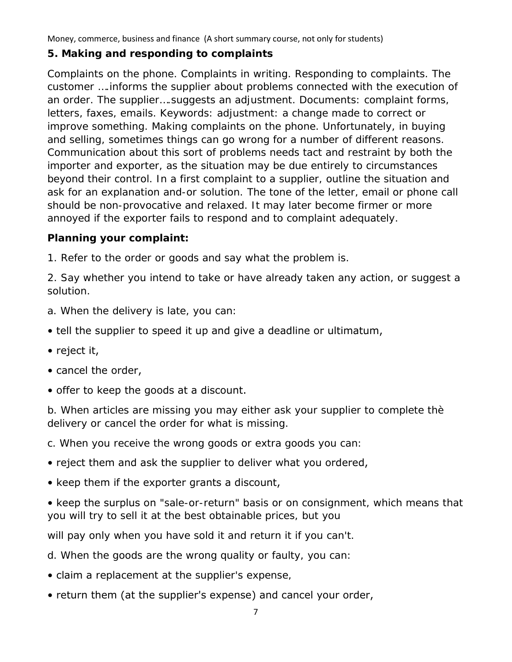#### **5. Making and responding to complaints**

Complaints on the phone. Complaints in writing. Responding to complaints. The customer ….informs the supplier about problems connected with the execution of an order. The supplier….suggests an adjustment. Documents: complaint forms, letters, faxes, emails. Keywords: adjustment: a change made to correct or improve something. Making complaints on the phone. Unfortunately, in buying and selling, sometimes things can go wrong for a number of different reasons. Communication about this sort of problems needs tact and restraint by both the importer and exporter, as the situation may be due entirely to circumstances beyond their control. In a first complaint to a supplier, outline the situation and ask for an explanation and-or solution. The tone of the letter, email or phone call should be non-provocative and relaxed. It may later become firmer or more annoyed if the exporter fails to respond and to complaint adequately.

#### **Planning your complaint:**

1. Refer to the order or goods and say what the problem is.

2. Say whether you intend to take or have already taken any action, or suggest a solution.

- a. When the delivery is late, you can:
- tell the supplier to speed it up and give a deadline or ultimatum,
- reject it,
- cancel the order,
- offer to keep the goods at a discount.

b. When articles are missing you may either ask your supplier to complete thè delivery or cancel the order for what is missing.

c. When you receive the wrong goods or extra goods you can:

- reject them and ask the supplier to deliver what you ordered,
- keep them if the exporter grants a discount,

• keep the surplus on "sale-or-return" basis or on consignment, which means that you will try to sell it at the best obtainable prices, but you

will pay only when you have sold it and return it if you can't.

d. When the goods are the wrong quality or faulty, you can:

- claim a replacement at the supplier's expense,
- return them (at the supplier's expense) and cancel your order,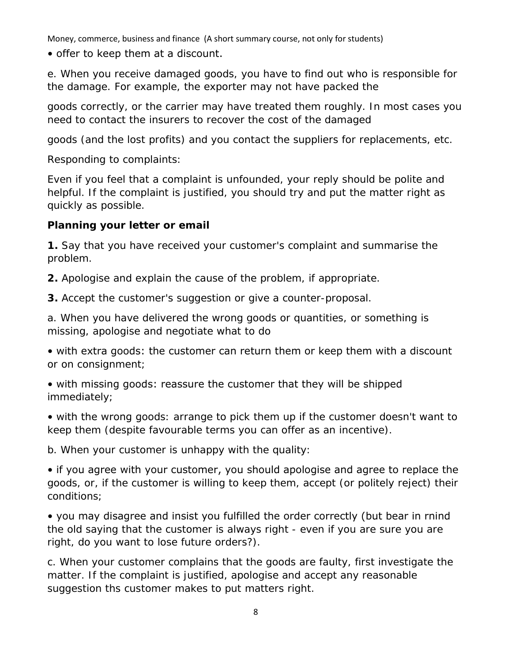• offer to keep them at a discount.

e. When you receive damaged goods, you have to find out who is responsible for the damage. For example, the exporter may not have packed the

goods correctly, or the carrier may have treated them roughly. In most cases you need to contact the insurers to recover the cost of the damaged

goods (and the lost profits) and you contact the suppliers for replacements, etc.

Responding to complaints:

Even if you feel that a complaint is unfounded, your reply should be polite and helpful. If the complaint is justified, you should try and put the matter right as quickly as possible.

# **Planning your letter or email**

**1.** Say that you have received your customer's complaint and summarise the problem.

**2.** Apologise and explain the cause of the problem, if appropriate.

**3.** Accept the customer's suggestion or give a counter-proposal.

a. When you have delivered the wrong goods or quantities, or something is missing, apologise and negotiate what to do

• with extra goods: the customer can return them or keep them with a discount or on consignment;

• with missing goods: reassure the customer that they will be shipped immediately;

• with the wrong goods: arrange to pick them up if the customer doesn't want to keep them (despite favourable terms you can offer as an incentive).

b. When your customer is unhappy with the quality:

• if you agree with your customer, you should apologise and agree to replace the goods, or, if the customer is willing to keep them, accept (or politely reject) their conditions;

• you may disagree and insist you fulfilled the order correctly (but bear in rnind the old saying that the customer is always right - even if you are sure you are right, do you want to lose future orders?).

c. When your customer complains that the goods are faulty, first investigate the matter. If the complaint is justified, apologise and accept any reasonable suggestion ths customer makes to put matters right.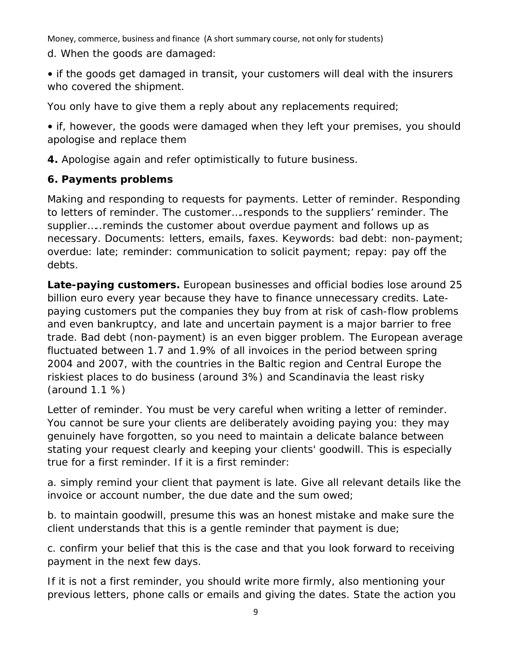Money, commerce, business and finance (A short summary course, not only for students) d. When the goods are damaged:

• if the goods get damaged in transit, your customers will deal with the insurers who covered the shipment.

You only have to give them a reply about any replacements required;

• if, however, the goods were damaged when they left your premises, you should apologise and replace them

**4.** Apologise again and refer optimistically to future business.

# **6. Payments problems**

Making and responding to requests for payments. Letter of reminder. Responding to letters of reminder. The customer….responds to the suppliers' reminder. The supplier…..reminds the customer about overdue payment and follows up as necessary. Documents: letters, emails, faxes. Keywords: bad debt: non-payment; overdue: late; reminder: communication to solicit payment; repay: pay off the debts.

**Late-paying customers.** European businesses and official bodies lose around 25 billion euro every year because they have to finance unnecessary credits. Latepaying customers put the companies they buy from at risk of cash-flow problems and even bankruptcy, and late and uncertain payment is a major barrier to free trade. Bad debt (non-payment) is an even bigger problem. The European average fluctuated between 1.7 and 1.9% of all invoices in the period between spring 2004 and 2007, with the countries in the Baltic region and Central Europe the riskiest places to do business (around 3%) and Scandinavia the least risky (around 1.1 %)

Letter of reminder. You must be very careful when writing a letter of reminder. You cannot be sure your clients are deliberately avoiding paying you: they may genuinely have forgotten, so you need to maintain a delicate balance between stating your request clearly and keeping your clients' goodwill. This is especially true for a first reminder. If it is a first reminder:

a. simply remind your client that payment is late. Give all relevant details like the invoice or account number, the due date and the sum owed;

b. to maintain goodwill, presume this was an honest mistake and make sure the client understands that this is a gentle reminder that payment is due;

c. confirm your belief that this is the case and that you look forward to receiving payment in the next few days.

If it is not a first reminder, you should write more firmly, also mentioning your previous letters, phone calls or emails and giving the dates. State the action you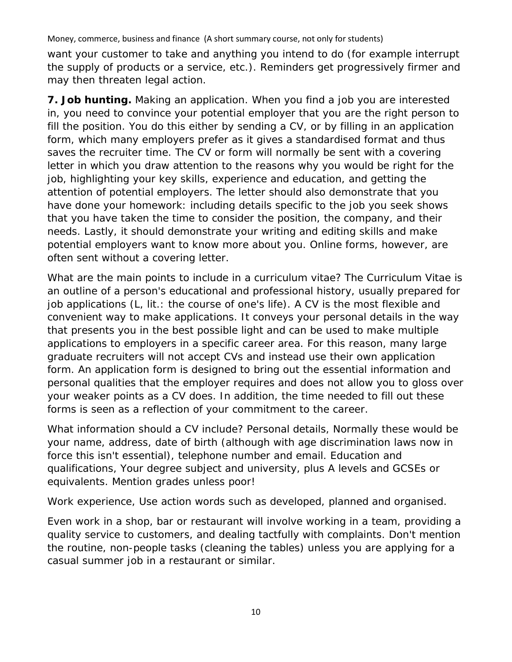want your customer to take and anything you intend to do (for example interrupt the supply of products or a service, etc.). Reminders get progressively firmer and may then threaten legal action.

**7. Job hunting.** Making an application. When you find a job you are interested in, you need to convince your potential employer that you are the right person to fill the position. You do this either by sending a CV, or by filling in an application form, which many employers prefer as it gives a standardised format and thus saves the recruiter time. The CV or form will normally be sent with a covering letter in which you draw attention to the reasons why you would be right for the job, highlighting your key skills, experience and education, and getting the attention of potential employers. The letter should also demonstrate that you have done your homework: including details specific to the job you seek shows that you have taken the time to consider the position, the company, and their needs. Lastly, it should demonstrate your writing and editing skills and make potential employers want to know more about you. Online forms, however, are often sent without a covering letter.

What are the main points to include in a curriculum vitae? The Curriculum Vitae is an outline of a person's educational and professional history, usually prepared for job applications (L, lit.: the course of one's life). A CV is the most flexible and convenient way to make applications. It conveys your personal details in the way that presents you in the best possible light and can be used to make multiple applications to employers in a specific career area. For this reason, many large graduate recruiters will not accept CVs and instead use their own application form. An application form is designed to bring out the essential information and personal qualities that the employer requires and does not allow you to gloss over your weaker points as a CV does. In addition, the time needed to fill out these forms is seen as a reflection of your commitment to the career.

What information should a CV include? Personal details, Normally these would be your name, address, date of birth (although with age discrimination laws now in force this isn't essential), telephone number and email. Education and qualifications, Your degree subject and university, plus A levels and GCSEs or equivalents. Mention grades unless poor!

Work experience, Use action words such as developed, planned and organised.

Even work in a shop, bar or restaurant will involve working in a team, providing a quality service to customers, and dealing tactfully with complaints. Don't mention the routine, non-people tasks (cleaning the tables) unless you are applying for a casual summer job in a restaurant or similar.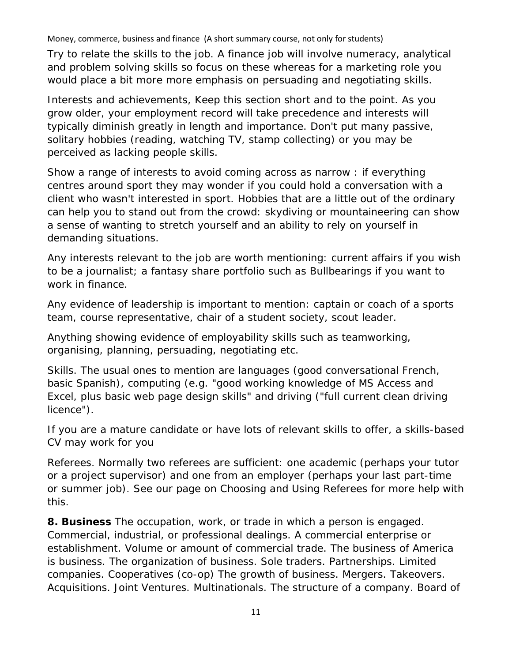Try to relate the skills to the job. A finance job will involve numeracy, analytical and problem solving skills so focus on these whereas for a marketing role you would place a bit more more emphasis on persuading and negotiating skills.

Interests and achievements, Keep this section short and to the point. As you grow older, your employment record will take precedence and interests will typically diminish greatly in length and importance. Don't put many passive, solitary hobbies (reading, watching TV, stamp collecting) or you may be perceived as lacking people skills.

Show a range of interests to avoid coming across as narrow : if everything centres around sport they may wonder if you could hold a conversation with a client who wasn't interested in sport. Hobbies that are a little out of the ordinary can help you to stand out from the crowd: skydiving or mountaineering can show a sense of wanting to stretch yourself and an ability to rely on yourself in demanding situations.

Any interests relevant to the job are worth mentioning: current affairs if you wish to be a journalist; a fantasy share portfolio such as Bullbearings if you want to work in finance.

Any evidence of leadership is important to mention: captain or coach of a sports team, course representative, chair of a student society, scout leader.

Anything showing evidence of employability skills such as teamworking, organising, planning, persuading, negotiating etc.

Skills. The usual ones to mention are languages (good conversational French, basic Spanish), computing (e.g. "good working knowledge of MS Access and Excel, plus basic web page design skills" and driving ("full current clean driving licence").

If you are a mature candidate or have lots of relevant skills to offer, a skills-based CV may work for you

Referees. Normally two referees are sufficient: one academic (perhaps your tutor or a project supervisor) and one from an employer (perhaps your last part-time or summer job). See our page on Choosing and Using Referees for more help with this.

**8. Business** The occupation, work, or trade in which a person is engaged. Commercial, industrial, or professional dealings. A commercial enterprise or establishment. Volume or amount of commercial trade. The business of America is business. The organization of business. Sole traders. Partnerships. Limited companies. Cooperatives (co-op) The growth of business. Mergers. Takeovers. Acquisitions. Joint Ventures. Multinationals. The structure of a company. Board of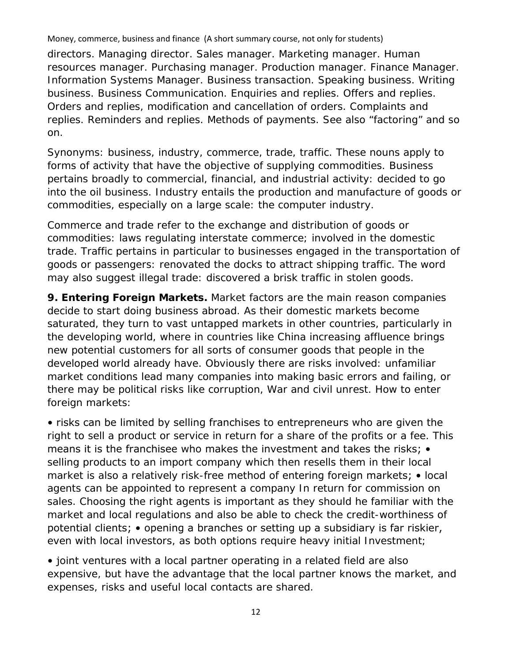directors. Managing director. Sales manager. Marketing manager. Human resources manager. Purchasing manager. Production manager. Finance Manager. Information Systems Manager. Business transaction. Speaking business. Writing business. Business Communication. Enquiries and replies. Offers and replies. Orders and replies, modification and cancellation of orders. Complaints and replies. Reminders and replies. Methods of payments. See also "factoring" and so on.

Synonyms: business, industry, commerce, trade, traffic. These nouns apply to forms of activity that have the objective of supplying commodities. Business pertains broadly to commercial, financial, and industrial activity: decided to go into the oil business. Industry entails the production and manufacture of goods or commodities, especially on a large scale: the computer industry.

Commerce and trade refer to the exchange and distribution of goods or commodities: laws regulating interstate commerce; involved in the domestic trade. Traffic pertains in particular to businesses engaged in the transportation of goods or passengers: renovated the docks to attract shipping traffic. The word may also suggest illegal trade: discovered a brisk traffic in stolen goods.

**9. Entering Foreign Markets.** Market factors are the main reason companies decide to start doing business abroad. As their domestic markets become saturated, they turn to vast untapped markets in other countries, particularly in the developing world, where in countries like China increasing affluence brings new potential customers for all sorts of consumer goods that people in the developed world already have. Obviously there are risks involved: unfamiliar market conditions lead many companies into making basic errors and failing, or there may be political risks like corruption, War and civil unrest. How to enter foreign markets:

• risks can be limited by selling franchises to entrepreneurs who are given the right to sell a product or service in return for a share of the profits or a fee. This means it is the franchisee who makes the investment and takes the risks; • selling products to an import company which then resells them in their local market is also a relatively risk-free method of entering foreign markets; • local agents can be appointed to represent a company In return for commission on sales. Choosing the right agents is important as they should he familiar with the market and local regulations and also be able to check the credit-worthiness of potential clients; • opening a branches or setting up a subsidiary is far riskier, even with local investors, as both options require heavy initial Investment;

• joint ventures with a local partner operating in a related field are also expensive, but have the advantage that the local partner knows the market, and expenses, risks and useful local contacts are shared.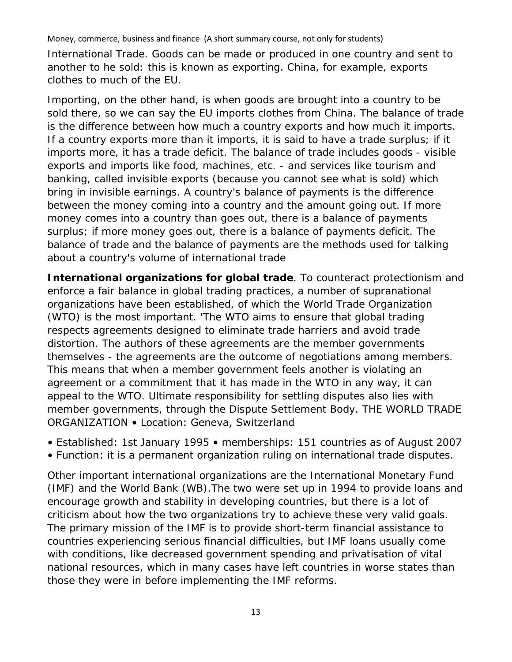International Trade. Goods can be made or produced in one country and sent to another to he sold: this is known as exporting. China, for example, exports clothes to much of the EU.

Importing, on the other hand, is when goods are brought into a country to be sold there, so we can say the EU imports clothes from China. The balance of trade is the difference between how much a country exports and how much it imports. If a country exports more than it imports, it is said to have a trade surplus; if it imports more, it has a trade deficit. The balance of trade includes goods - visible exports and imports like food, machines, etc. - and services like tourism and banking, called invisible exports (because you cannot see what is sold) which bring in invisible earnings. A country's balance of payments is the difference between the money coming into a country and the amount going out. If more money comes into a country than goes out, there is a balance of payments surplus; if more money goes out, there is a balance of payments deficit. The balance of trade and the balance of payments are the methods used for talking about a country's volume of international trade

**International organizations for global trade**. To counteract protectionism and enforce a fair balance in global trading practices, a number of supranational organizations have been established, of which the World Trade Organization (WTO) is the most important. 'The WTO aims to ensure that global trading respects agreements designed to eliminate trade harriers and avoid trade distortion. The authors of these agreements are the member governments themselves - the agreements are the outcome of negotiations among members. This means that when a member government feels another is violating an agreement or a commitment that it has made in the WTO in any way, it can appeal to the WTO. Ultimate responsibility for settling disputes also lies with member governments, through the Dispute Settlement Body. THE WORLD TRADE ORGANIZATION • Location: Geneva, Switzerland

- Established: 1st January 1995 memberships: 151 countries as of August 2007
- Function: it is a permanent organization ruling on international trade disputes.

Other important international organizations are the International Monetary Fund (IMF) and the World Bank (WB).The two were set up in 1994 to provide loans and encourage growth and stability in developing countries, but there is a lot of criticism about how the two organizations try to achieve these very valid goals. The primary mission of the IMF is to provide short-term financial assistance to countries experiencing serious financial difficulties, but IMF loans usually come with conditions, like decreased government spending and privatisation of vital national resources, which in many cases have left countries in worse states than those they were in before implementing the IMF reforms.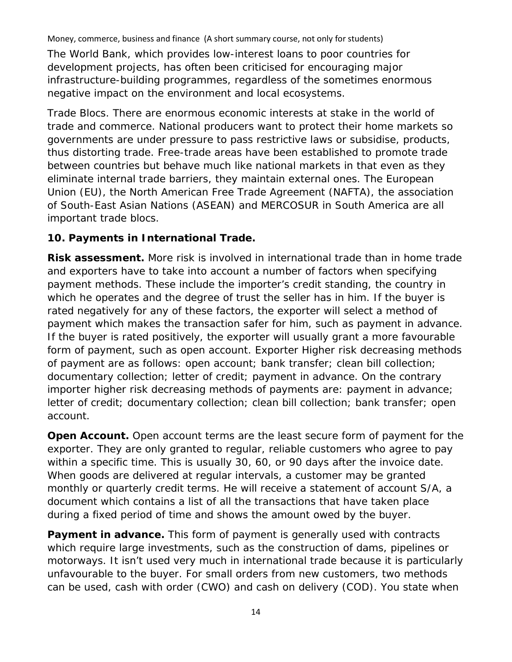The World Bank, which provides low-interest loans to poor countries for development projects, has often been criticised for encouraging major infrastructure-building programmes, regardless of the sometimes enormous negative impact on the environment and local ecosystems.

Trade Blocs. There are enormous economic interests at stake in the world of trade and commerce. National producers want to protect their home markets so governments are under pressure to pass restrictive laws or subsidise, products, thus distorting trade. Free-trade areas have been established to promote trade between countries but behave much like national markets in that even as they eliminate internal trade barriers, they maintain external ones. The European Union (EU), the North American Free Trade Agreement (NAFTA), the association of South-East Asian Nations (ASEAN) and MERCOSUR in South America are all important trade blocs.

#### **10. Payments in International Trade.**

**Risk assessment.** More risk is involved in international trade than in home trade and exporters have to take into account a number of factors when specifying payment methods. These include the importer's credit standing, the country in which he operates and the degree of trust the seller has in him. If the buyer is rated negatively for any of these factors, the exporter will select a method of payment which makes the transaction safer for him, such as payment in advance. If the buyer is rated positively, the exporter will usually grant a more favourable form of payment, such as open account. Exporter Higher risk decreasing methods of payment are as follows: open account; bank transfer; clean bill collection; documentary collection; letter of credit; payment in advance. On the contrary importer higher risk decreasing methods of payments are: payment in advance; letter of credit; documentary collection; clean bill collection; bank transfer; open account.

**Open Account.** Open account terms are the least secure form of payment for the exporter. They are only granted to regular, reliable customers who agree to pay within a specific time. This is usually 30, 60, or 90 days after the invoice date. When goods are delivered at regular intervals, a customer may be granted monthly or quarterly credit terms. He will receive a statement of account S/A, a document which contains a list of all the transactions that have taken place during a fixed period of time and shows the amount owed by the buyer.

**Payment in advance.** This form of payment is generally used with contracts which require large investments, such as the construction of dams, pipelines or motorways. It isn't used very much in international trade because it is particularly unfavourable to the buyer. For small orders from new customers, two methods can be used, cash with order (CWO) and cash on delivery (COD). You state when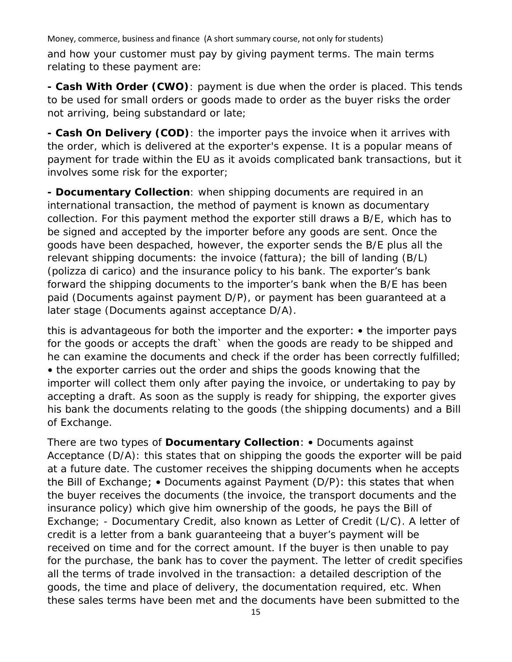Money, commerce, business and finance (A short summary course, not only for students) and how your customer must pay by giving payment terms. The main terms relating to these payment are:

**- Cash With Order (CWO)**: payment is due when the order is placed. This tends to be used for small orders or goods made to order as the buyer risks the order not arriving, being substandard or late;

**- Cash On Delivery (COD)**: the importer pays the invoice when it arrives with the order, which is delivered at the exporter's expense. It is a popular means of payment for trade within the EU as it avoids complicated bank transactions, but it involves some risk for the exporter;

**- Documentary Collection**: when shipping documents are required in an international transaction, the method of payment is known as documentary collection. For this payment method the exporter still draws a B/E, which has to be signed and accepted by the importer before any goods are sent. Once the goods have been despached, however, the exporter sends the B/E plus all the relevant shipping documents: the invoice (fattura); the bill of landing (B/L) (polizza di carico) and the insurance policy to his bank. The exporter's bank forward the shipping documents to the importer's bank when the B/E has been paid (Documents against payment D/P), or payment has been guaranteed at a later stage (Documents against acceptance D/A).

this is advantageous for both the importer and the exporter: • the importer pays for the goods or accepts the draft` when the goods are ready to be shipped and he can examine the documents and check if the order has been correctly fulfilled; • the exporter carries out the order and ships the goods knowing that the importer will collect them only after paying the invoice, or undertaking to pay by accepting a draft. As soon as the supply is ready for shipping, the exporter gives his bank the documents relating to the goods (the shipping documents) and a Bill of Exchange.

There are two types of **Documentary Collection**: • Documents against Acceptance (D/A): this states that on shipping the goods the exporter will be paid at a future date. The customer receives the shipping documents when he accepts the Bill of Exchange; • Documents against Payment (D/P): this states that when the buyer receives the documents (the invoice, the transport documents and the insurance policy) which give him ownership of the goods, he pays the Bill of Exchange; - Documentary Credit, also known as Letter of Credit (L/C). A letter of credit is a letter from a bank guaranteeing that a buyer's payment will be received on time and for the correct amount. If the buyer is then unable to pay for the purchase, the bank has to cover the payment. The letter of credit specifies all the terms of trade involved in the transaction: a detailed description of the goods, the time and place of delivery, the documentation required, etc. When these sales terms have been met and the documents have been submitted to the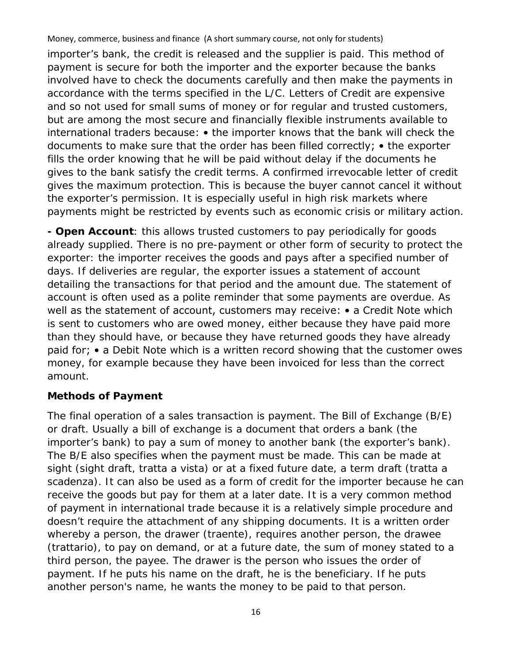importer's bank, the credit is released and the supplier is paid. This method of payment is secure for both the importer and the exporter because the banks involved have to check the documents carefully and then make the payments in accordance with the terms specified in the L/C. Letters of Credit are expensive and so not used for small sums of money or for regular and trusted customers, but are among the most secure and financially flexible instruments available to international traders because: • the importer knows that the bank will check the documents to make sure that the order has been filled correctly; • the exporter fills the order knowing that he will be paid without delay if the documents he gives to the bank satisfy the credit terms. A confirmed irrevocable letter of credit gives the maximum protection. This is because the buyer cannot cancel it without the exporter's permission. It is especially useful in high risk markets where payments might be restricted by events such as economic crisis or military action.

**- Open Account**: this allows trusted customers to pay periodically for goods already supplied. There is no pre-payment or other form of security to protect the exporter: the importer receives the goods and pays after a specified number of days. If deliveries are regular, the exporter issues a statement of account detailing the transactions for that period and the amount due. The statement of account is often used as a polite reminder that some payments are overdue. As well as the statement of account, customers may receive: • a Credit Note which is sent to customers who are owed money, either because they have paid more than they should have, or because they have returned goods they have already paid for; • a Debit Note which is a written record showing that the customer owes money, for example because they have been invoiced for less than the correct amount.

#### **Methods of Payment**

The final operation of a sales transaction is payment. The Bill of Exchange (B/E) or draft. Usually a bill of exchange is a document that orders a bank (the importer's bank) to pay a sum of money to another bank (the exporter's bank). The B/E also specifies when the payment must be made. This can be made at sight (sight draft, tratta a vista) or at a fixed future date, a term draft (tratta a scadenza). It can also be used as a form of credit for the importer because he can receive the goods but pay for them at a later date. It is a very common method of payment in international trade because it is a relatively simple procedure and doesn't require the attachment of any shipping documents. It is a written order whereby a person, the drawer (traente), requires another person, the drawee (trattario), to pay on demand, or at a future date, the sum of money stated to a third person, the payee. The drawer is the person who issues the order of payment. If he puts his name on the draft, he is the beneficiary. If he puts another person's name, he wants the money to be paid to that person.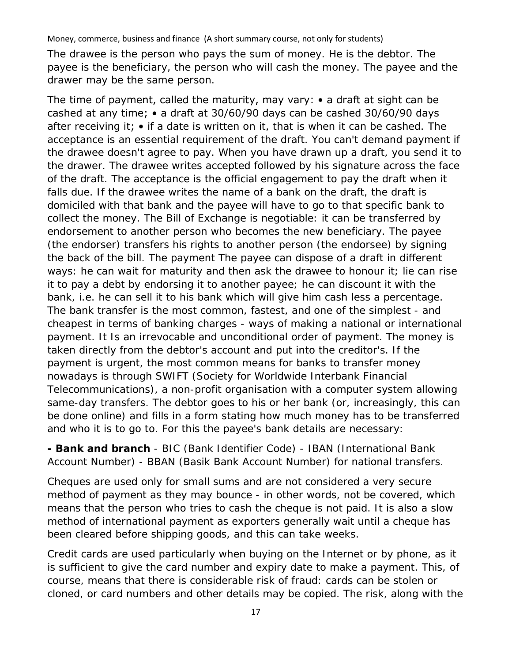The drawee is the person who pays the sum of money. He is the debtor. The payee is the beneficiary, the person who will cash the money. The payee and the drawer may be the same person.

The time of payment, called the maturity, may vary: • a draft at sight can be cashed at any time; • a draft at 30/60/90 days can be cashed 30/60/90 days after receiving it; • if a date is written on it, that is when it can be cashed. The acceptance is an essential requirement of the draft. You can't demand payment if the drawee doesn't agree to pay. When you have drawn up a draft, you send it to the drawer. The drawee writes accepted followed by his signature across the face of the draft. The acceptance is the official engagement to pay the draft when it falls due. If the drawee writes the name of a bank on the draft, the draft is domiciled with that bank and the payee will have to go to that specific bank to collect the money. The Bill of Exchange is negotiable: it can be transferred by endorsement to another person who becomes the new beneficiary. The payee (the endorser) transfers his rights to another person (the endorsee) by signing the back of the bill. The payment The payee can dispose of a draft in different ways: he can wait for maturity and then ask the drawee to honour it; lie can rise it to pay a debt by endorsing it to another payee; he can discount it with the bank, i.e. he can sell it to his bank which will give him cash less a percentage. The bank transfer is the most common, fastest, and one of the simplest - and cheapest in terms of banking charges - ways of making a national or international payment. It Is an irrevocable and unconditional order of payment. The money is taken directly from the debtor's account and put into the creditor's. If the payment is urgent, the most common means for banks to transfer money nowadays is through SWIFT (Society for Worldwide Interbank Financial Telecommunications), a non-profit organisation with a computer system allowing same-day transfers. The debtor goes to his or her bank (or, increasingly, this can be done online) and fills in a form stating how much money has to be transferred and who it is to go to. For this the payee's bank details are necessary:

**- Bank and branch** - BIC (Bank Identifier Code) - IBAN (International Bank Account Number) - BBAN (Basik Bank Account Number) for national transfers.

Cheques are used only for small sums and are not considered a very secure method of payment as they may bounce - in other words, not be covered, which means that the person who tries to cash the cheque is not paid. It is also a slow method of international payment as exporters generally wait until a cheque has been cleared before shipping goods, and this can take weeks.

Credit cards are used particularly when buying on the Internet or by phone, as it is sufficient to give the card number and expiry date to make a payment. This, of course, means that there is considerable risk of fraud: cards can be stolen or cloned, or card numbers and other details may be copied. The risk, along with the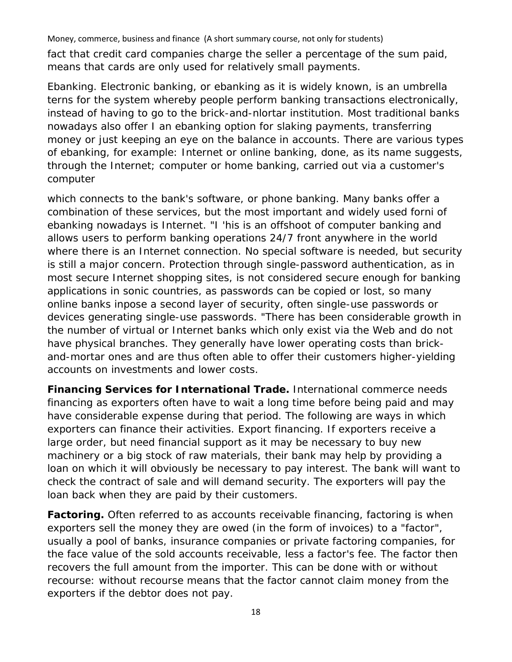Money, commerce, business and finance (A short summary course, not only for students) fact that credit card companies charge the seller a percentage of the sum paid,

means that cards are only used for relatively small payments.

Ebanking. Electronic banking, or ebanking as it is widely known, is an umbrella terns for the system whereby people perform banking transactions electronically, instead of having to go to the brick-and-nlortar institution. Most traditional banks nowadays also offer I an ebanking option for slaking payments, transferring money or just keeping an eye on the balance in accounts. There are various types of ebanking, for example: Internet or online banking, done, as its name suggests, through the Internet; computer or home banking, carried out via a customer's computer

which connects to the bank's software, or phone banking. Many banks offer a combination of these services, but the most important and widely used forni of ebanking nowadays is Internet. "I 'his is an offshoot of computer banking and allows users to perform banking operations 24/7 front anywhere in the world where there is an Internet connection. No special software is needed, but security is still a major concern. Protection through single-password authentication, as in most secure Internet shopping sites, is not considered secure enough for banking applications in sonic countries, as passwords can be copied or lost, so many online banks inpose a second layer of security, often single-use passwords or devices generating single-use passwords. "There has been considerable growth in the number of virtual or Internet banks which only exist via the Web and do not have physical branches. They generally have lower operating costs than brickand-mortar ones and are thus often able to offer their customers higher-yielding accounts on investments and lower costs.

**Financing Services for International Trade.** International commerce needs financing as exporters often have to wait a long time before being paid and may have considerable expense during that period. The following are ways in which exporters can finance their activities. Export financing. If exporters receive a large order, but need financial support as it may be necessary to buy new machinery or a big stock of raw materials, their bank may help by providing a loan on which it will obviously be necessary to pay interest. The bank will want to check the contract of sale and will demand security. The exporters will pay the loan back when they are paid by their customers.

**Factoring.** Often referred to as accounts receivable financing, factoring is when exporters sell the money they are owed (in the form of invoices) to a "factor", usually a pool of banks, insurance companies or private factoring companies, for the face value of the sold accounts receivable, less a factor's fee. The factor then recovers the full amount from the importer. This can be done with or without recourse: without recourse means that the factor cannot claim money from the exporters if the debtor does not pay.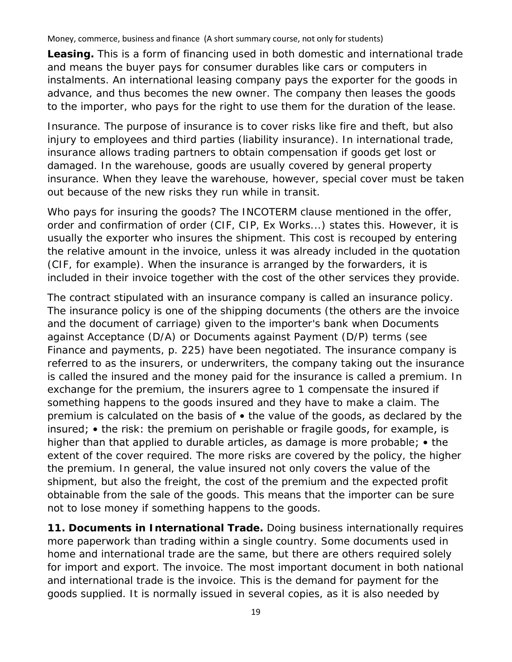**Leasing.** This is a form of financing used in both domestic and international trade and means the buyer pays for consumer durables like cars or computers in instalments. An international leasing company pays the exporter for the goods in advance, and thus becomes the new owner. The company then leases the goods to the importer, who pays for the right to use them for the duration of the lease.

Insurance. The purpose of insurance is to cover risks like fire and theft, but also injury to employees and third parties (liability insurance). In international trade, insurance allows trading partners to obtain compensation if goods get lost or damaged. In the warehouse, goods are usually covered by general property insurance. When they leave the warehouse, however, special cover must be taken out because of the new risks they run while in transit.

Who pays for insuring the goods? The INCOTERM clause mentioned in the offer, order and confirmation of order (CIF, CIP, Ex Works...) states this. However, it is usually the exporter who insures the shipment. This cost is recouped by entering the relative amount in the invoice, unless it was already included in the quotation (CIF, for example). When the insurance is arranged by the forwarders, it is included in their invoice together with the cost of the other services they provide.

The contract stipulated with an insurance company is called an insurance policy. The insurance policy is one of the shipping documents (the others are the invoice and the document of carriage) given to the importer's bank when Documents against Acceptance (D/A) or Documents against Payment (D/P) terms (see Finance and payments, p. 225) have been negotiated. The insurance company is referred to as the insurers, or underwriters, the company taking out the insurance is called the insured and the money paid for the insurance is called a premium. In exchange for the premium, the insurers agree to 1 compensate the insured if something happens to the goods insured and they have to make a claim. The premium is calculated on the basis of • the value of the goods, as declared by the insured; • the risk: the premium on perishable or fragile goods, for example, is higher than that applied to durable articles, as damage is more probable; • the extent of the cover required. The more risks are covered by the policy, the higher the premium. In general, the value insured not only covers the value of the shipment, but also the freight, the cost of the premium and the expected profit obtainable from the sale of the goods. This means that the importer can be sure not to lose money if something happens to the goods.

**11. Documents in International Trade.** Doing business internationally requires more paperwork than trading within a single country. Some documents used in home and international trade are the same, but there are others required solely for import and export. The invoice. The most important document in both national and international trade is the invoice. This is the demand for payment for the goods supplied. It is normally issued in several copies, as it is also needed by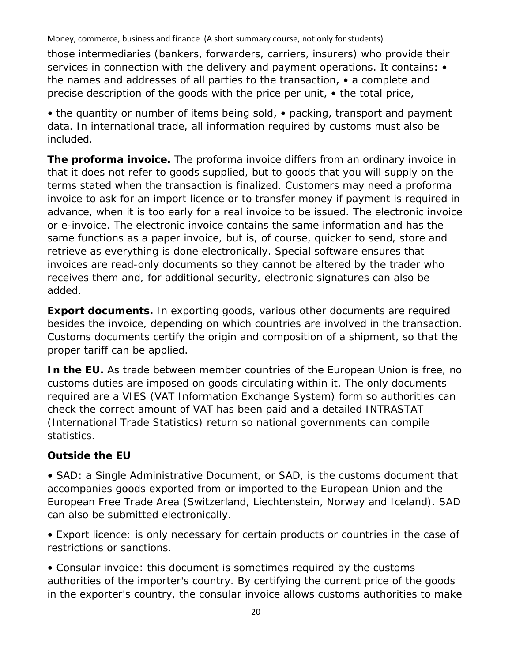those intermediaries (bankers, forwarders, carriers, insurers) who provide their services in connection with the delivery and payment operations. It contains:  $\bullet$ the names and addresses of all parties to the transaction, • a complete and precise description of the goods with the price per unit, • the total price,

• the quantity or number of items being sold, • packing, transport and payment data. In international trade, all information required by customs must also be included.

**The proforma invoice.** The proforma invoice differs from an ordinary invoice in that it does not refer to goods supplied, but to goods that you will supply on the terms stated when the transaction is finalized. Customers may need a proforma invoice to ask for an import licence or to transfer money if payment is required in advance, when it is too early for a real invoice to be issued. The electronic invoice or e-invoice. The electronic invoice contains the same information and has the same functions as a paper invoice, but is, of course, quicker to send, store and retrieve as everything is done electronically. Special software ensures that invoices are read-only documents so they cannot be altered by the trader who receives them and, for additional security, electronic signatures can also be added.

**Export documents.** In exporting goods, various other documents are required besides the invoice, depending on which countries are involved in the transaction. Customs documents certify the origin and composition of a shipment, so that the proper tariff can be applied.

**In the EU.** As trade between member countries of the European Union is free, no customs duties are imposed on goods circulating within it. The only documents required are a VIES (VAT Information Exchange System) form so authorities can check the correct amount of VAT has been paid and a detailed INTRASTAT (International Trade Statistics) return so national governments can compile statistics.

# **Outside the EU**

• SAD: a Single Administrative Document, or SAD, is the customs document that accompanies goods exported from or imported to the European Union and the European Free Trade Area (Switzerland, Liechtenstein, Norway and Iceland). SAD can also be submitted electronically.

• Export licence: is only necessary for certain products or countries in the case of restrictions or sanctions.

• Consular invoice: this document is sometimes required by the customs authorities of the importer's country. By certifying the current price of the goods in the exporter's country, the consular invoice allows customs authorities to make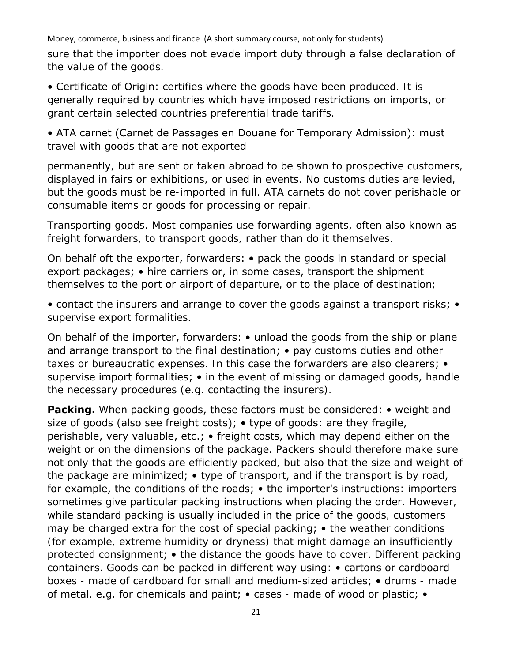sure that the importer does not evade import duty through a false declaration of the value of the goods.

• Certificate of Origin: certifies where the goods have been produced. It is generally required by countries which have imposed restrictions on imports, or grant certain selected countries preferential trade tariffs.

• ATA carnet (Carnet de Passages en Douane for Temporary Admission): must travel with goods that are not exported

permanently, but are sent or taken abroad to be shown to prospective customers, displayed in fairs or exhibitions, or used in events. No customs duties are levied, but the goods must be re-imported in full. ATA carnets do not cover perishable or consumable items or goods for processing or repair.

Transporting goods. Most companies use forwarding agents, often also known as freight forwarders, to transport goods, rather than do it themselves.

On behalf oft the exporter, forwarders: • pack the goods in standard or special export packages; • hire carriers or, in some cases, transport the shipment themselves to the port or airport of departure, or to the place of destination;

• contact the insurers and arrange to cover the goods against a transport risks; • supervise export formalities.

On behalf of the importer, forwarders: • unload the goods from the ship or plane and arrange transport to the final destination; • pay customs duties and other taxes or bureaucratic expenses. In this case the forwarders are also clearers; • supervise import formalities; • in the event of missing or damaged goods, handle the necessary procedures (e.g. contacting the insurers).

**Packing.** When packing goods, these factors must be considered: • weight and size of goods (also see freight costs); • type of goods: are they fragile, perishable, very valuable, etc.; • freight costs, which may depend either on the weight or on the dimensions of the package. Packers should therefore make sure not only that the goods are efficiently packed, but also that the size and weight of the package are minimized; • type of transport, and if the transport is by road, for example, the conditions of the roads; • the importer's instructions: importers sometimes give particular packing instructions when placing the order. However, while standard packing is usually included in the price of the goods, customers may be charged extra for the cost of special packing; • the weather conditions (for example, extreme humidity or dryness) that might damage an insufficiently protected consignment; • the distance the goods have to cover. Different packing containers. Goods can be packed in different way using: • cartons or cardboard boxes - made of cardboard for small and medium-sized articles; • drums - made of metal, e.g. for chemicals and paint; • cases - made of wood or plastic; •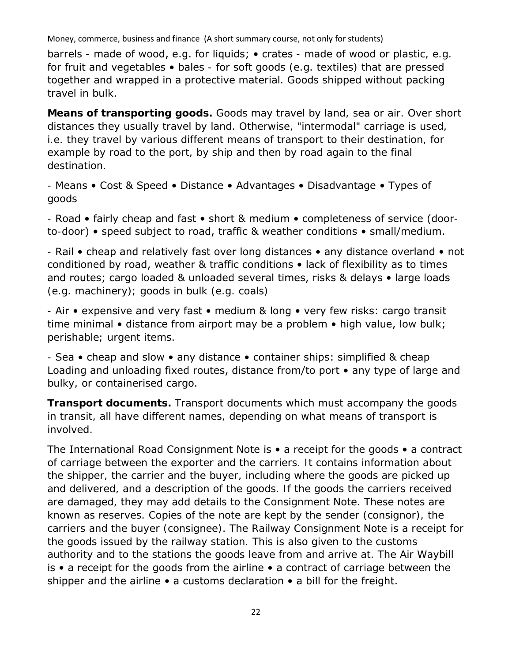barrels - made of wood, e.g. for liquids; • crates - made of wood or plastic, e.g. for fruit and vegetables • bales - for soft goods (e.g. textiles) that are pressed together and wrapped in a protective material. Goods shipped without packing travel in bulk.

**Means of transporting goods.** Goods may travel by land, sea or air. Over short distances they usually travel by land. Otherwise, "intermodal" carriage is used, i.e. they travel by various different means of transport to their destination, for example by road to the port, by ship and then by road again to the final destination.

- Means • Cost & Speed • Distance • Advantages • Disadvantage • Types of goods

- Road • fairly cheap and fast • short & medium • completeness of service (doorto-door) • speed subject to road, traffic & weather conditions • small/medium.

- Rail • cheap and relatively fast over long distances • any distance overland • not conditioned by road, weather & traffic conditions • lack of flexibility as to times and routes; cargo loaded & unloaded several times, risks & delays • large loads (e.g. machinery); goods in bulk (e.g. coals)

- Air • expensive and very fast • medium & long • very few risks: cargo transit time minimal • distance from airport may be a problem • high value, low bulk; perishable; urgent items.

- Sea • cheap and slow • any distance • container ships: simplified & cheap Loading and unloading fixed routes, distance from/to port • any type of large and bulky, or containerised cargo.

**Transport documents.** Transport documents which must accompany the goods in transit, all have different names, depending on what means of transport is involved.

The International Road Consignment Note is • a receipt for the goods • a contract of carriage between the exporter and the carriers. It contains information about the shipper, the carrier and the buyer, including where the goods are picked up and delivered, and a description of the goods. If the goods the carriers received are damaged, they may add details to the Consignment Note. These notes are known as reserves. Copies of the note are kept by the sender (consignor), the carriers and the buyer (consignee). The Railway Consignment Note is a receipt for the goods issued by the railway station. This is also given to the customs authority and to the stations the goods leave from and arrive at. The Air Waybill is • a receipt for the goods from the airline • a contract of carriage between the shipper and the airline • a customs declaration • a bill for the freight.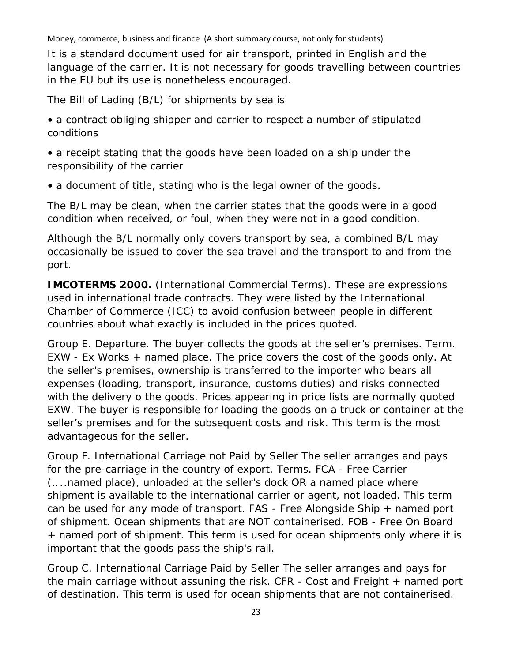It is a standard document used for air transport, printed in English and the language of the carrier. It is not necessary for goods travelling between countries in the EU but its use is nonetheless encouraged.

The Bill of Lading (B/L) for shipments by sea is

• a contract obliging shipper and carrier to respect a number of stipulated conditions

• a receipt stating that the goods have been loaded on a ship under the responsibility of the carrier

• a document of title, stating who is the legal owner of the goods.

The B/L may be clean, when the carrier states that the goods were in a good condition when received, or foul, when they were not in a good condition.

Although the B/L normally only covers transport by sea, a combined B/L may occasionally be issued to cover the sea travel and the transport to and from the port.

**IMCOTERMS 2000.** (International Commercial Terms). These are expressions used in international trade contracts. They were listed by the International Chamber of Commerce (ICC) to avoid confusion between people in different countries about what exactly is included in the prices quoted.

Group E. Departure. The buyer collects the goods at the seller's premises. Term. EXW - Ex Works + named place. The price covers the cost of the goods only. At the seller's premises, ownership is transferred to the importer who bears all expenses (loading, transport, insurance, customs duties) and risks connected with the delivery o the goods. Prices appearing in price lists are normally quoted EXW. The buyer is responsible for loading the goods on a truck or container at the seller's premises and for the subsequent costs and risk. This term is the most advantageous for the seller.

Group F. International Carriage not Paid by Seller The seller arranges and pays for the pre-carriage in the country of export. Terms. FCA - Free Carrier (…..named place), unloaded at the seller's dock OR a named place where shipment is available to the international carrier or agent, not loaded. This term can be used for any mode of transport. FAS - Free Alongside Ship + named port of shipment. Ocean shipments that are NOT containerised. FOB - Free On Board + named port of shipment. This term is used for ocean shipments only where it is important that the goods pass the ship's rail.

Group C. International Carriage Paid by Seller The seller arranges and pays for the main carriage without assuning the risk. CFR  $-$  Cost and Freight  $+$  named port of destination. This term is used for ocean shipments that are not containerised.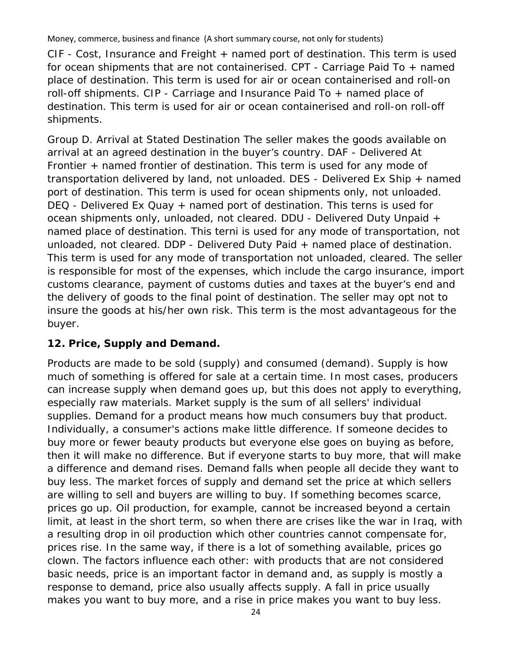CIF - Cost, Insurance and Freight + named port of destination. This term is used for ocean shipments that are not containerised. CPT - Carriage Paid To + named place of destination. This term is used for air or ocean containerised and roll-on roll-off shipments. CIP - Carriage and Insurance Paid To + named place of destination. This term is used for air or ocean containerised and roll-on roll-off shipments.

Group D. Arrival at Stated Destination The seller makes the goods available on arrival at an agreed destination in the buyer's country. DAF - Delivered At Frontier + named frontier of destination. This term is used for any mode of transportation delivered by land, not unloaded. DES - Delivered Ex Ship + named port of destination. This term is used for ocean shipments only, not unloaded. DEQ - Delivered Ex Quay + named port of destination. This terns is used for ocean shipments only, unloaded, not cleared. DDU - Delivered Duty Unpaid + named place of destination. This terni is used for any mode of transportation, not unloaded, not cleared. DDP - Delivered Duty Paid + named place of destination. This term is used for any mode of transportation not unloaded, cleared. The seller is responsible for most of the expenses, which include the cargo insurance, import customs clearance, payment of customs duties and taxes at the buyer's end and the delivery of goods to the final point of destination. The seller may opt not to insure the goods at his/her own risk. This term is the most advantageous for the buyer.

# **12. Price, Supply and Demand.**

Products are made to be sold (supply) and consumed (demand). Supply is how much of something is offered for sale at a certain time. In most cases, producers can increase supply when demand goes up, but this does not apply to everything, especially raw materials. Market supply is the sum of all sellers' individual supplies. Demand for a product means how much consumers buy that product. Individually, a consumer's actions make little difference. If someone decides to buy more or fewer beauty products but everyone else goes on buying as before, then it will make no difference. But if everyone starts to buy more, that will make a difference and demand rises. Demand falls when people all decide they want to buy less. The market forces of supply and demand set the price at which sellers are willing to sell and buyers are willing to buy. If something becomes scarce, prices go up. Oil production, for example, cannot be increased beyond a certain limit, at least in the short term, so when there are crises like the war in Iraq, with a resulting drop in oil production which other countries cannot compensate for, prices rise. In the same way, if there is a lot of something available, prices go clown. The factors influence each other: with products that are not considered basic needs, price is an important factor in demand and, as supply is mostly a response to demand, price also usually affects supply. A fall in price usually makes you want to buy more, and a rise in price makes you want to buy less.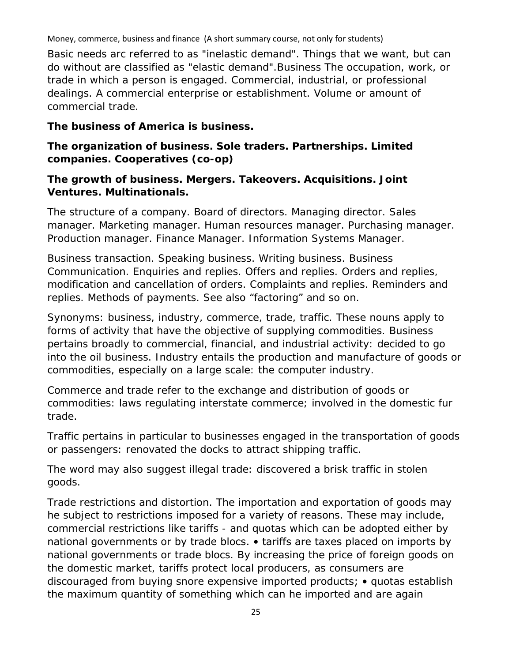Money, commerce, business and finance (A short summary course, not only for students) Basic needs arc referred to as "inelastic demand". Things that we want, but can do without are classified as "elastic demand".Business The occupation, work, or trade in which a person is engaged. Commercial, industrial, or professional dealings. A commercial enterprise or establishment. Volume or amount of commercial trade.

#### **The business of America is business.**

## **The organization of business. Sole traders. Partnerships. Limited companies. Cooperatives (co-op)**

#### **The growth of business. Mergers. Takeovers. Acquisitions. Joint Ventures. Multinationals.**

The structure of a company. Board of directors. Managing director. Sales manager. Marketing manager. Human resources manager. Purchasing manager. Production manager. Finance Manager. Information Systems Manager.

Business transaction. Speaking business. Writing business. Business Communication. Enquiries and replies. Offers and replies. Orders and replies, modification and cancellation of orders. Complaints and replies. Reminders and replies. Methods of payments. See also "factoring" and so on.

Synonyms: business, industry, commerce, trade, traffic. These nouns apply to forms of activity that have the objective of supplying commodities. Business pertains broadly to commercial, financial, and industrial activity: decided to go into the oil business. Industry entails the production and manufacture of goods or commodities, especially on a large scale: the computer industry.

Commerce and trade refer to the exchange and distribution of goods or commodities: laws regulating interstate commerce; involved in the domestic fur trade.

Traffic pertains in particular to businesses engaged in the transportation of goods or passengers: renovated the docks to attract shipping traffic.

The word may also suggest illegal trade: discovered a brisk traffic in stolen goods.

Trade restrictions and distortion. The importation and exportation of goods may he subject to restrictions imposed for a variety of reasons. These may include, commercial restrictions like tariffs - and quotas which can be adopted either by national governments or by trade blocs. • tariffs are taxes placed on imports by national governments or trade blocs. By increasing the price of foreign goods on the domestic market, tariffs protect local producers, as consumers are discouraged from buying snore expensive imported products; • quotas establish the maximum quantity of something which can he imported and are again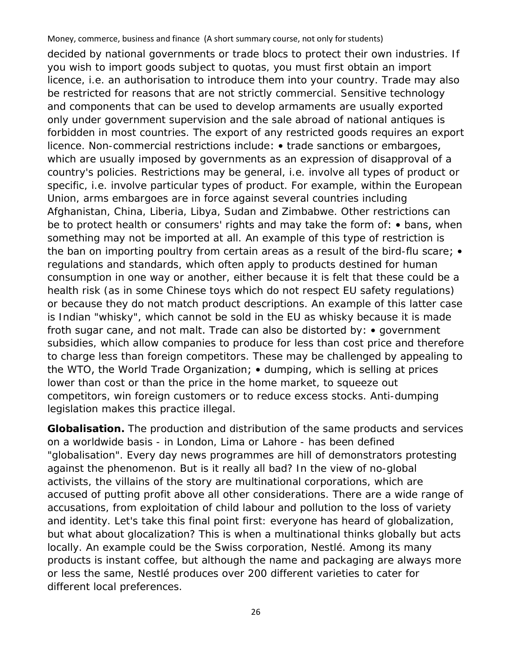decided by national governments or trade blocs to protect their own industries. If you wish to import goods subject to quotas, you must first obtain an import licence, i.e. an authorisation to introduce them into your country. Trade may also be restricted for reasons that are not strictly commercial. Sensitive technology and components that can be used to develop armaments are usually exported only under government supervision and the sale abroad of national antiques is forbidden in most countries. The export of any restricted goods requires an export licence. Non-commercial restrictions include: • trade sanctions or embargoes, which are usually imposed by governments as an expression of disapproval of a country's policies. Restrictions may be general, i.e. involve all types of product or specific, i.e. involve particular types of product. For example, within the European Union, arms embargoes are in force against several countries including Afghanistan, China, Liberia, Libya, Sudan and Zimbabwe. Other restrictions can be to protect health or consumers' rights and may take the form of: • bans, when something may not be imported at all. An example of this type of restriction is the ban on importing poultry from certain areas as a result of the bird-flu scare; • regulations and standards, which often apply to products destined for human consumption in one way or another, either because it is felt that these could be a health risk (as in some Chinese toys which do not respect EU safety regulations) or because they do not match product descriptions. An example of this latter case is Indian "whisky", which cannot be sold in the EU as whisky because it is made froth sugar cane, and not malt. Trade can also be distorted by: • government subsidies, which allow companies to produce for less than cost price and therefore to charge less than foreign competitors. These may be challenged by appealing to the WTO, the World Trade Organization; • dumping, which is selling at prices lower than cost or than the price in the home market, to squeeze out competitors, win foreign customers or to reduce excess stocks. Anti-dumping legislation makes this practice illegal.

**Globalisation.** The production and distribution of the same products and services on a worldwide basis - in London, Lima or Lahore - has been defined "globalisation". Every day news programmes are hill of demonstrators protesting against the phenomenon. But is it really all bad? In the view of no-global activists, the villains of the story are multinational corporations, which are accused of putting profit above all other considerations. There are a wide range of accusations, from exploitation of child labour and pollution to the loss of variety and identity. Let's take this final point first: everyone has heard of globalization, but what about glocalization? This is when a multinational thinks globally but acts locally. An example could be the Swiss corporation, Nestlé. Among its many products is instant coffee, but although the name and packaging are always more or less the same, Nestlé produces over 200 different varieties to cater for different local preferences.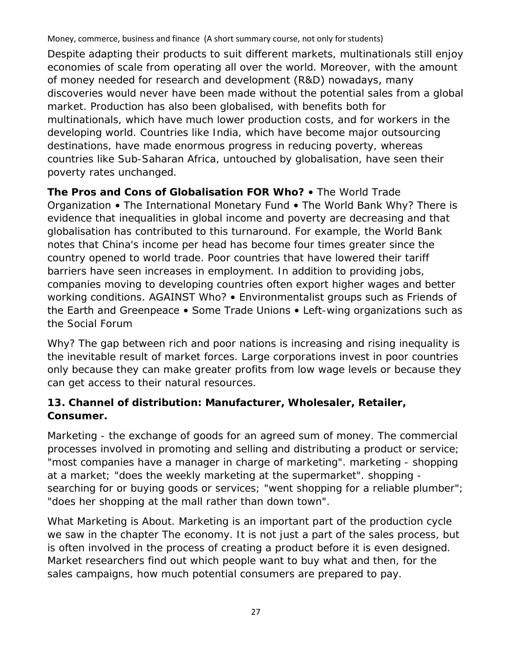Despite adapting their products to suit different markets, multinationals still enjoy economies of scale from operating all over the world. Moreover, with the amount of money needed for research and development (R&D) nowadays, many discoveries would never have been made without the potential sales from a global market. Production has also been globalised, with benefits both for multinationals, which have much lower production costs, and for workers in the developing world. Countries like India, which have become major outsourcing destinations, have made enormous progress in reducing poverty, whereas countries like Sub-Saharan Africa, untouched by globalisation, have seen their poverty rates unchanged.

**The Pros and Cons of Globalisation FOR Who?** • The World Trade Organization • The International Monetary Fund • The World Bank Why? There is evidence that inequalities in global income and poverty are decreasing and that globalisation has contributed to this turnaround. For example, the World Bank notes that China's income per head has become four times greater since the country opened to world trade. Poor countries that have lowered their tariff barriers have seen increases in employment. In addition to providing jobs, companies moving to developing countries often export higher wages and better working conditions. AGAINST Who? • Environmentalist groups such as Friends of the Earth and Greenpeace • Some Trade Unions • Left-wing organizations such as the Social Forum

Why? The gap between rich and poor nations is increasing and rising inequality is the inevitable result of market forces. Large corporations invest in poor countries only because they can make greater profits from low wage levels or because they can get access to their natural resources.

# **13. Channel of distribution: Manufacturer, Wholesaler, Retailer, Consumer.**

Marketing - the exchange of goods for an agreed sum of money. The commercial processes involved in promoting and selling and distributing a product or service; "most companies have a manager in charge of marketing". marketing - shopping at a market; "does the weekly marketing at the supermarket". shopping searching for or buying goods or services; "went shopping for a reliable plumber"; "does her shopping at the mall rather than down town".

What Marketing is About. Marketing is an important part of the production cycle we saw in the chapter The economy. It is not just a part of the sales process, but is often involved in the process of creating a product before it is even designed. Market researchers find out which people want to buy what and then, for the sales campaigns, how much potential consumers are prepared to pay.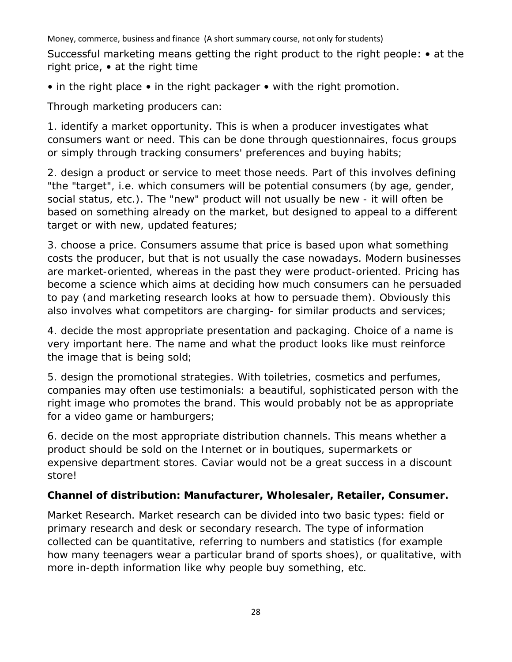Successful marketing means getting the right product to the right people: • at the right price, • at the right time

• in the right place • in the right packager • with the right promotion.

Through marketing producers can:

1. identify a market opportunity. This is when a producer investigates what consumers want or need. This can be done through questionnaires, focus groups or simply through tracking consumers' preferences and buying habits;

2. design a product or service to meet those needs. Part of this involves defining "the "target", i.e. which consumers will be potential consumers (by age, gender, social status, etc.). The "new" product will not usually be new - it will often be based on something already on the market, but designed to appeal to a different target or with new, updated features;

3. choose a price. Consumers assume that price is based upon what something costs the producer, but that is not usually the case nowadays. Modern businesses are market-oriented, whereas in the past they were product-oriented. Pricing has become a science which aims at deciding how much consumers can he persuaded to pay (and marketing research looks at how to persuade them). Obviously this also involves what competitors are charging- for similar products and services;

4. decide the most appropriate presentation and packaging. Choice of a name is very important here. The name and what the product looks like must reinforce the image that is being sold;

5. design the promotional strategies. With toiletries, cosmetics and perfumes, companies may often use testimonials: a beautiful, sophisticated person with the right image who promotes the brand. This would probably not be as appropriate for a video game or hamburgers;

6. decide on the most appropriate distribution channels. This means whether a product should be sold on the Internet or in boutiques, supermarkets or expensive department stores. Caviar would not be a great success in a discount store!

# **Channel of distribution: Manufacturer, Wholesaler, Retailer, Consumer.**

Market Research. Market research can be divided into two basic types: field or primary research and desk or secondary research. The type of information collected can be quantitative, referring to numbers and statistics (for example how many teenagers wear a particular brand of sports shoes), or qualitative, with more in-depth information like why people buy something, etc.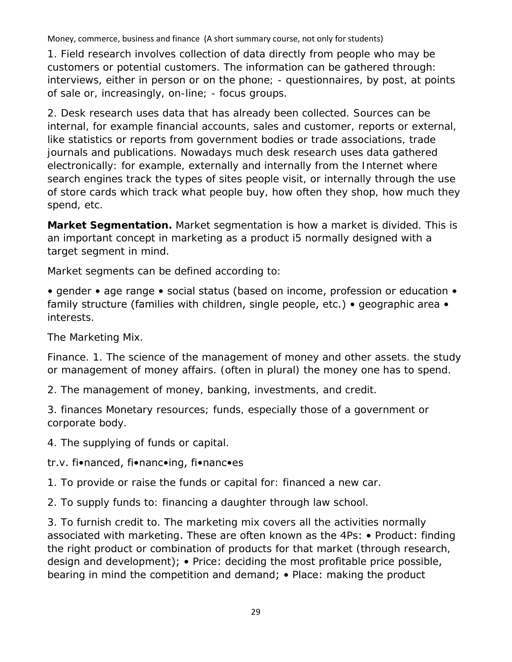1. Field research involves collection of data directly from people who may be customers or potential customers. The information can be gathered through: interviews, either in person or on the phone; - questionnaires, by post, at points of sale or, increasingly, on-line; - focus groups.

2. Desk research uses data that has already been collected. Sources can be internal, for example financial accounts, sales and customer, reports or external, like statistics or reports from government bodies or trade associations, trade journals and publications. Nowadays much desk research uses data gathered electronically: for example, externally and internally from the Internet where search engines track the types of sites people visit, or internally through the use of store cards which track what people buy, how often they shop, how much they spend, etc.

**Market Segmentation.** Market segmentation is how a market is divided. This is an important concept in marketing as a product i5 normally designed with a target segment in mind.

Market segments can be defined according to:

• gender • age range • social status (based on income, profession or education • family structure (families with children, single people, etc.) • geographic area • interests.

The Marketing Mix.

Finance. 1. The science of the management of money and other assets. the study or management of money affairs. (often in plural) the money one has to spend.

2. The management of money, banking, investments, and credit.

3. finances Monetary resources; funds, especially those of a government or corporate body.

4. The supplying of funds or capital.

# tr.v. fi•nanced, fi•nanc•ing, fi•nanc•es

1. To provide or raise the funds or capital for: financed a new car.

2. To supply funds to: financing a daughter through law school.

3. To furnish credit to. The marketing mix covers all the activities normally associated with marketing. These are often known as the 4Ps: • Product: finding the right product or combination of products for that market (through research, design and development); • Price: deciding the most profitable price possible, bearing in mind the competition and demand; • Place: making the product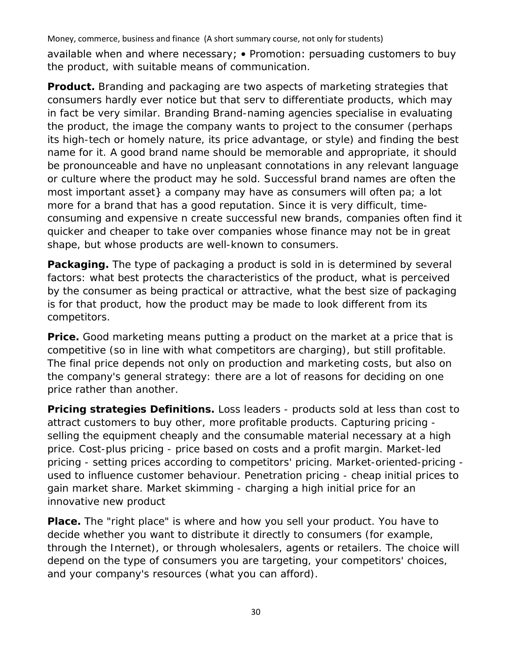available when and where necessary; • Promotion: persuading customers to buy the product, with suitable means of communication.

**Product.** Branding and packaging are two aspects of marketing strategies that consumers hardly ever notice but that serv to differentiate products, which may in fact be very similar. Branding Brand-naming agencies specialise in evaluating the product, the image the company wants to project to the consumer (perhaps its high-tech or homely nature, its price advantage, or style) and finding the best name for it. A good brand name should be memorable and appropriate, it should be pronounceable and have no unpleasant connotations in any relevant language or culture where the product may he sold. Successful brand names are often the most important asset} a company may have as consumers will often pa; a lot more for a brand that has a good reputation. Since it is very difficult, timeconsuming and expensive n create successful new brands, companies often find it quicker and cheaper to take over companies whose finance may not be in great shape, but whose products are well-known to consumers.

**Packaging.** The type of packaging a product is sold in is determined by several factors: what best protects the characteristics of the product, what is perceived by the consumer as being practical or attractive, what the best size of packaging is for that product, how the product may be made to look different from its competitors.

**Price.** Good marketing means putting a product on the market at a price that is competitive (so in line with what competitors are charging), but still profitable. The final price depends not only on production and marketing costs, but also on the company's general strategy: there are a lot of reasons for deciding on one price rather than another.

**Pricing strategies Definitions.** Loss leaders - products sold at less than cost to attract customers to buy other, more profitable products. Capturing pricing selling the equipment cheaply and the consumable material necessary at a high price. Cost-plus pricing - price based on costs and a profit margin. Market-led pricing - setting prices according to competitors' pricing. Market-oriented-pricing used to influence customer behaviour. Penetration pricing - cheap initial prices to gain market share. Market skimming - charging a high initial price for an innovative new product

**Place.** The "right place" is where and how you sell your product. You have to decide whether you want to distribute it directly to consumers (for example, through the Internet), or through wholesalers, agents or retailers. The choice will depend on the type of consumers you are targeting, your competitors' choices, and your company's resources (what you can afford).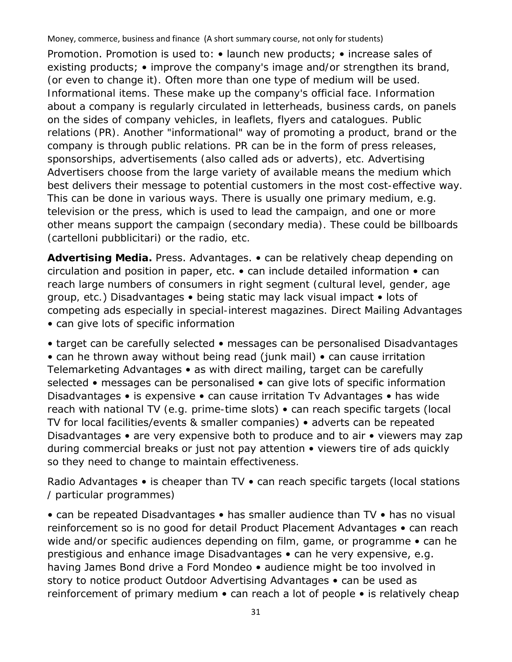Promotion. Promotion is used to: • launch new products; • increase sales of existing products; • improve the company's image and/or strengthen its brand, (or even to change it). Often more than one type of medium will be used. Informational items. These make up the company's official face. Information about a company is regularly circulated in letterheads, business cards, on panels on the sides of company vehicles, in leaflets, flyers and catalogues. Public relations (PR). Another "informational" way of promoting a product, brand or the company is through public relations. PR can be in the form of press releases, sponsorships, advertisements (also called ads or adverts), etc. Advertising Advertisers choose from the large variety of available means the medium which best delivers their message to potential customers in the most cost-effective way. This can be done in various ways. There is usually one primary medium, e.g. television or the press, which is used to lead the campaign, and one or more other means support the campaign (secondary media). These could be billboards (cartelloni pubblicitari) or the radio, etc.

**Advertising Media.** Press. Advantages. • can be relatively cheap depending on circulation and position in paper, etc. • can include detailed information • can reach large numbers of consumers in right segment (cultural level, gender, age group, etc.) Disadvantages • being static may lack visual impact • lots of competing ads especially in special-interest magazines. Direct Mailing Advantages • can give lots of specific information

• target can be carefully selected • messages can be personalised Disadvantages • can he thrown away without being read (junk mail) • can cause irritation Telemarketing Advantages • as with direct mailing, target can be carefully selected • messages can be personalised • can give lots of specific information Disadvantages • is expensive • can cause irritation Tv Advantages • has wide reach with national TV (e.g. prime-time slots) • can reach specific targets (local TV for local facilities/events & smaller companies) • adverts can be repeated Disadvantages • are very expensive both to produce and to air • viewers may zap during commercial breaks or just not pay attention • viewers tire of ads quickly so they need to change to maintain effectiveness.

Radio Advantages • is cheaper than TV • can reach specific targets (local stations / particular programmes)

• can be repeated Disadvantages • has smaller audience than TV • has no visual reinforcement so is no good for detail Product Placement Advantages • can reach wide and/or specific audiences depending on film, game, or programme • can he prestigious and enhance image Disadvantages • can he very expensive, e.g. having James Bond drive a Ford Mondeo • audience might be too involved in story to notice product Outdoor Advertising Advantages • can be used as reinforcement of primary medium • can reach a lot of people • is relatively cheap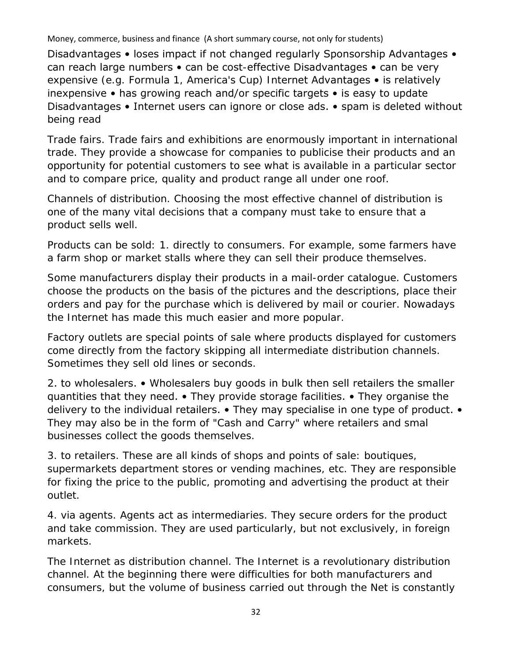Disadvantages • loses impact if not changed regularly Sponsorship Advantages • can reach large numbers • can be cost-effective Disadvantages • can be very expensive (e.g. Formula 1, America's Cup) Internet Advantages • is relatively inexpensive • has growing reach and/or specific targets • is easy to update Disadvantages • Internet users can ignore or close ads. • spam is deleted without being read

Trade fairs. Trade fairs and exhibitions are enormously important in international trade. They provide a showcase for companies to publicise their products and an opportunity for potential customers to see what is available in a particular sector and to compare price, quality and product range all under one roof.

Channels of distribution. Choosing the most effective channel of distribution is one of the many vital decisions that a company must take to ensure that a product sells well.

Products can be sold: 1. directly to consumers. For example, some farmers have a farm shop or market stalls where they can sell their produce themselves.

Some manufacturers display their products in a mail-order catalogue. Customers choose the products on the basis of the pictures and the descriptions, place their orders and pay for the purchase which is delivered by mail or courier. Nowadays the Internet has made this much easier and more popular.

Factory outlets are special points of sale where products displayed for customers come directly from the factory skipping all intermediate distribution channels. Sometimes they sell old lines or seconds.

2. to wholesalers. • Wholesalers buy goods in bulk then sell retailers the smaller quantities that they need. • They provide storage facilities. • They organise the delivery to the individual retailers. • They may specialise in one type of product. • They may also be in the form of "Cash and Carry" where retailers and smal businesses collect the goods themselves.

3. to retailers. These are all kinds of shops and points of sale: boutiques, supermarkets department stores or vending machines, etc. They are responsible for fixing the price to the public, promoting and advertising the product at their outlet.

4. via agents. Agents act as intermediaries. They secure orders for the product and take commission. They are used particularly, but not exclusively, in foreign markets.

The Internet as distribution channel. The Internet is a revolutionary distribution channel. At the beginning there were difficulties for both manufacturers and consumers, but the volume of business carried out through the Net is constantly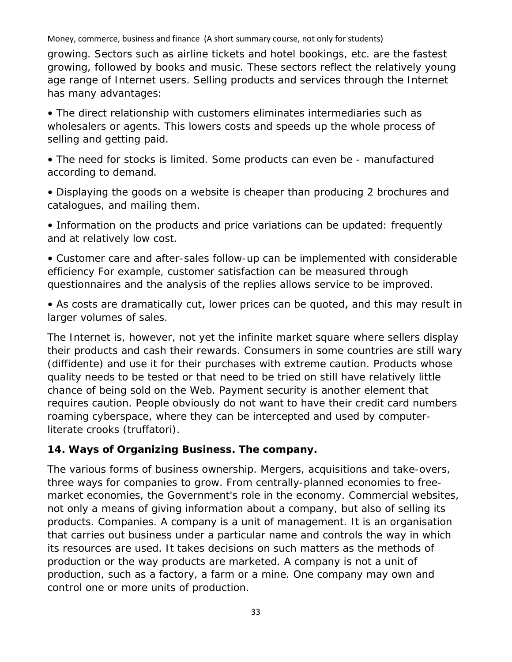growing. Sectors such as airline tickets and hotel bookings, etc. are the fastest growing, followed by books and music. These sectors reflect the relatively young age range of Internet users. Selling products and services through the Internet has many advantages:

• The direct relationship with customers eliminates intermediaries such as wholesalers or agents. This lowers costs and speeds up the whole process of selling and getting paid.

• The need for stocks is limited. Some products can even be - manufactured according to demand.

• Displaying the goods on a website is cheaper than producing 2 brochures and catalogues, and mailing them.

• Information on the products and price variations can be updated: frequently and at relatively low cost.

• Customer care and after-sales follow-up can be implemented with considerable efficiency For example, customer satisfaction can be measured through questionnaires and the analysis of the replies allows service to be improved.

• As costs are dramatically cut, lower prices can be quoted, and this may result in larger volumes of sales.

The Internet is, however, not yet the infinite market square where sellers display their products and cash their rewards. Consumers in some countries are still wary (diffidente) and use it for their purchases with extreme caution. Products whose quality needs to be tested or that need to be tried on still have relatively little chance of being sold on the Web. Payment security is another element that requires caution. People obviously do not want to have their credit card numbers roaming cyberspace, where they can be intercepted and used by computerliterate crooks (truffatori).

# **14. Ways of Organizing Business. The company.**

The various forms of business ownership. Mergers, acquisitions and take-overs, three ways for companies to grow. From centrally-planned economies to freemarket economies, the Government's role in the economy. Commercial websites, not only a means of giving information about a company, but also of selling its products. Companies. A company is a unit of management. It is an organisation that carries out business under a particular name and controls the way in which its resources are used. It takes decisions on such matters as the methods of production or the way products are marketed. A company is not a unit of production, such as a factory, a farm or a mine. One company may own and control one or more units of production.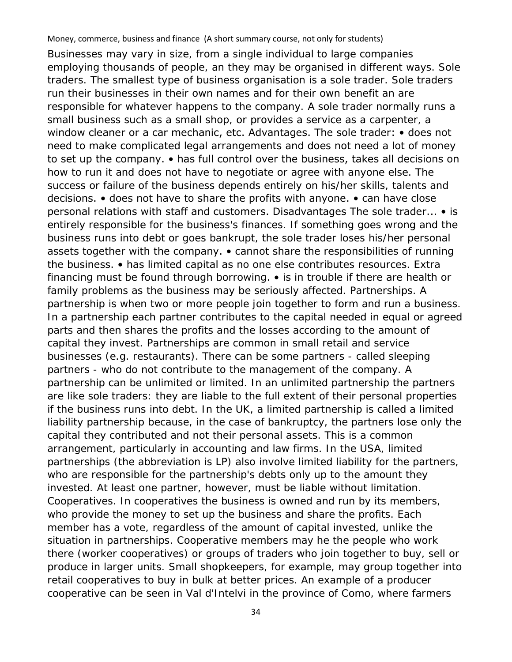Businesses may vary in size, from a single individual to large companies employing thousands of people, an they may be organised in different ways. Sole traders. The smallest type of business organisation is a sole trader. Sole traders run their businesses in their own names and for their own benefit an are responsible for whatever happens to the company. A sole trader normally runs a small business such as a small shop, or provides a service as a carpenter, a window cleaner or a car mechanic, etc. Advantages. The sole trader: • does not need to make complicated legal arrangements and does not need a lot of money to set up the company. • has full control over the business, takes all decisions on how to run it and does not have to negotiate or agree with anyone else. The success or failure of the business depends entirely on his/her skills, talents and decisions. • does not have to share the profits with anyone. • can have close personal relations with staff and customers. Disadvantages The sole trader... • is entirely responsible for the business's finances. If something goes wrong and the business runs into debt or goes bankrupt, the sole trader loses his/her personal assets together with the company. • cannot share the responsibilities of running the business. • has limited capital as no one else contributes resources. Extra financing must be found through borrowing. • is in trouble if there are health or family problems as the business may be seriously affected. Partnerships. A partnership is when two or more people join together to form and run a business. In a partnership each partner contributes to the capital needed in equal or agreed parts and then shares the profits and the losses according to the amount of capital they invest. Partnerships are common in small retail and service businesses (e.g. restaurants). There can be some partners - called sleeping partners - who do not contribute to the management of the company. A partnership can be unlimited or limited. In an unlimited partnership the partners are like sole traders: they are liable to the full extent of their personal properties if the business runs into debt. In the UK, a limited partnership is called a limited liability partnership because, in the case of bankruptcy, the partners lose only the capital they contributed and not their personal assets. This is a common arrangement, particularly in accounting and law firms. In the USA, limited partnerships (the abbreviation is LP) also involve limited liability for the partners, who are responsible for the partnership's debts only up to the amount they invested. At least one partner, however, must be liable without limitation. Cooperatives. In cooperatives the business is owned and run by its members, who provide the money to set up the business and share the profits. Each member has a vote, regardless of the amount of capital invested, unlike the situation in partnerships. Cooperative members may he the people who work there (worker cooperatives) or groups of traders who join together to buy, sell or produce in larger units. Small shopkeepers, for example, may group together into retail cooperatives to buy in bulk at better prices. An example of a producer cooperative can be seen in Val d'Intelvi in the province of Como, where farmers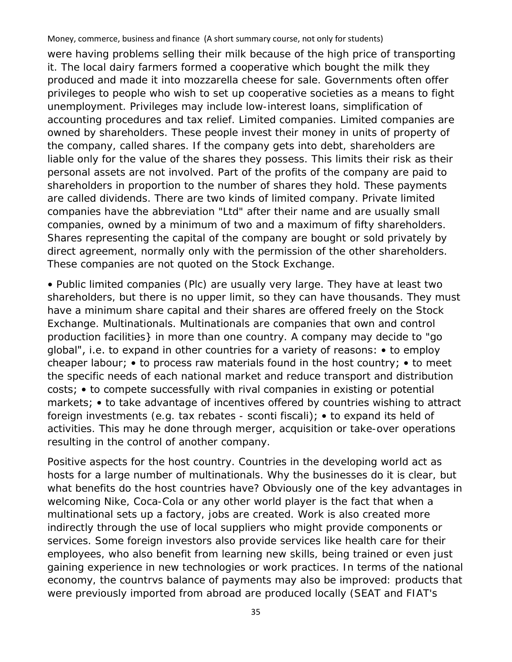were having problems selling their milk because of the high price of transporting it. The local dairy farmers formed a cooperative which bought the milk they produced and made it into mozzarella cheese for sale. Governments often offer privileges to people who wish to set up cooperative societies as a means to fight unemployment. Privileges may include low-interest loans, simplification of accounting procedures and tax relief. Limited companies. Limited companies are owned by shareholders. These people invest their money in units of property of the company, called shares. If the company gets into debt, shareholders are liable only for the value of the shares they possess. This limits their risk as their personal assets are not involved. Part of the profits of the company are paid to shareholders in proportion to the number of shares they hold. These payments are called dividends. There are two kinds of limited company. Private limited companies have the abbreviation "Ltd" after their name and are usually small companies, owned by a minimum of two and a maximum of fifty shareholders. Shares representing the capital of the company are bought or sold privately by direct agreement, normally only with the permission of the other shareholders. These companies are not quoted on the Stock Exchange.

• Public limited companies (Plc) are usually very large. They have at least two shareholders, but there is no upper limit, so they can have thousands. They must have a minimum share capital and their shares are offered freely on the Stock Exchange. Multinationals. Multinationals are companies that own and control production facilities} in more than one country. A company may decide to "go global", i.e. to expand in other countries for a variety of reasons: • to employ cheaper labour; • to process raw materials found in the host country; • to meet the specific needs of each national market and reduce transport and distribution costs; • to compete successfully with rival companies in existing or potential markets; • to take advantage of incentives offered by countries wishing to attract foreign investments (e.g. tax rebates - sconti fiscali); • to expand its held of activities. This may he done through merger, acquisition or take-over operations resulting in the control of another company.

Positive aspects for the host country. Countries in the developing world act as hosts for a large number of multinationals. Why the businesses do it is clear, but what benefits do the host countries have? Obviously one of the key advantages in welcoming Nike, Coca-Cola or any other world player is the fact that when a multinational sets up a factory, jobs are created. Work is also created more indirectly through the use of local suppliers who might provide components or services. Some foreign investors also provide services like health care for their employees, who also benefit from learning new skills, being trained or even just gaining experience in new technologies or work practices. In terms of the national economy, the countrvs balance of payments may also be improved: products that were previously imported from abroad are produced locally (SEAT and FIAT's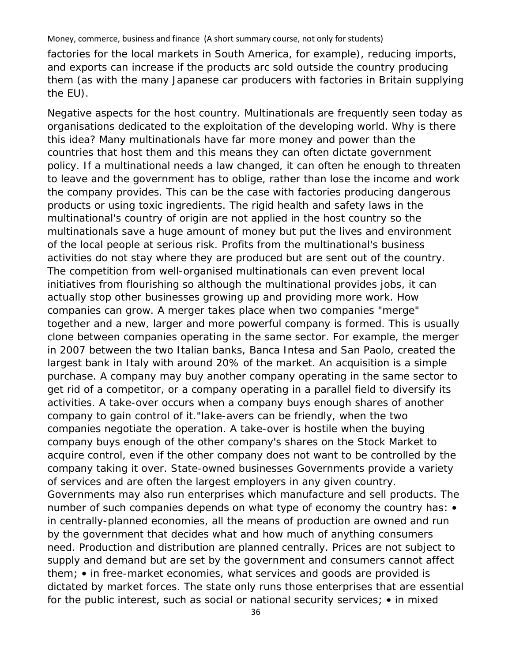factories for the local markets in South America, for example), reducing imports, and exports can increase if the products arc sold outside the country producing them (as with the many Japanese car producers with factories in Britain supplying the EU).

Negative aspects for the host country. Multinationals are frequently seen today as organisations dedicated to the exploitation of the developing world. Why is there this idea? Many multinationals have far more money and power than the countries that host them and this means they can often dictate government policy. If a multinational needs a law changed, it can often he enough to threaten to leave and the government has to oblige, rather than lose the income and work the company provides. This can be the case with factories producing dangerous products or using toxic ingredients. The rigid health and safety laws in the multinational's country of origin are not applied in the host country so the multinationals save a huge amount of money but put the lives and environment of the local people at serious risk. Profits from the multinational's business activities do not stay where they are produced but are sent out of the country. The competition from well-organised multinationals can even prevent local initiatives from flourishing so although the multinational provides jobs, it can actually stop other businesses growing up and providing more work. How companies can grow. A merger takes place when two companies "merge" together and a new, larger and more powerful company is formed. This is usually clone between companies operating in the same sector. For example, the merger in 2007 between the two Italian banks, Banca Intesa and San Paolo, created the largest bank in Italy with around 20% of the market. An acquisition is a simple purchase. A company may buy another company operating in the same sector to get rid of a competitor, or a company operating in a parallel field to diversify its activities. A take-over occurs when a company buys enough shares of another company to gain control of it."lake-avers can be friendly, when the two companies negotiate the operation. A take-over is hostile when the buying company buys enough of the other company's shares on the Stock Market to acquire control, even if the other company does not want to be controlled by the company taking it over. State-owned businesses Governments provide a variety of services and are often the largest employers in any given country. Governments may also run enterprises which manufacture and sell products. The number of such companies depends on what type of economy the country has:  $\bullet$ in centrally-planned economies, all the means of production are owned and run by the government that decides what and how much of anything consumers need. Production and distribution are planned centrally. Prices are not subject to supply and demand but are set by the government and consumers cannot affect them; • in free-market economies, what services and goods are provided is dictated by market forces. The state only runs those enterprises that are essential for the public interest, such as social or national security services; • in mixed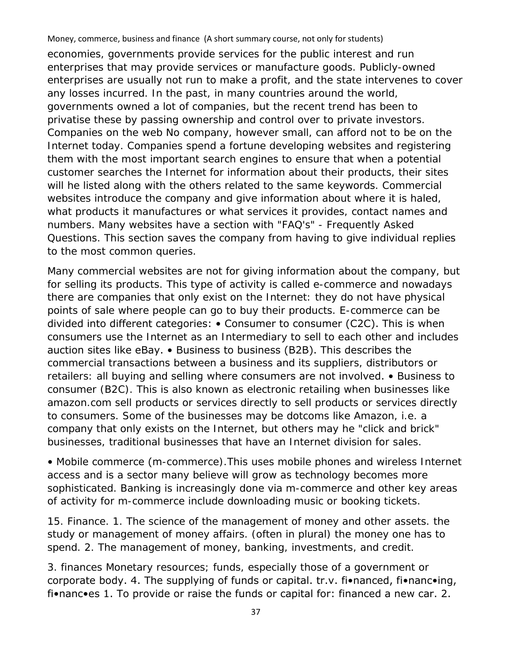economies, governments provide services for the public interest and run enterprises that may provide services or manufacture goods. Publicly-owned enterprises are usually not run to make a profit, and the state intervenes to cover any losses incurred. In the past, in many countries around the world, governments owned a lot of companies, but the recent trend has been to privatise these by passing ownership and control over to private investors. Companies on the web No company, however small, can afford not to be on the Internet today. Companies spend a fortune developing websites and registering them with the most important search engines to ensure that when a potential customer searches the Internet for information about their products, their sites will he listed along with the others related to the same keywords. Commercial websites introduce the company and give information about where it is haled, what products it manufactures or what services it provides, contact names and numbers. Many websites have a section with "FAQ's" - Frequently Asked Questions. This section saves the company from having to give individual replies to the most common queries.

Many commercial websites are not for giving information about the company, but for selling its products. This type of activity is called e-commerce and nowadays there are companies that only exist on the Internet: they do not have physical points of sale where people can go to buy their products. E-commerce can be divided into different categories: • Consumer to consumer (C2C). This is when consumers use the Internet as an Intermediary to sell to each other and includes auction sites like eBay. • Business to business (B2B). This describes the commercial transactions between a business and its suppliers, distributors or retailers: all buying and selling where consumers are not involved. • Business to consumer (B2C). This is also known as electronic retailing when businesses like amazon.com sell products or services directly to sell products or services directly to consumers. Some of the businesses may be dotcoms like Amazon, i.e. a company that only exists on the Internet, but others may he "click and brick" businesses, traditional businesses that have an Internet division for sales.

• Mobile commerce (m-commerce).This uses mobile phones and wireless Internet access and is a sector many believe will grow as technology becomes more sophisticated. Banking is increasingly done via m-commerce and other key areas of activity for m-commerce include downloading music or booking tickets.

15. Finance. 1. The science of the management of money and other assets. the study or management of money affairs. (often in plural) the money one has to spend. 2. The management of money, banking, investments, and credit.

3. finances Monetary resources; funds, especially those of a government or corporate body. 4. The supplying of funds or capital. tr.v. fi•nanced, fi•nanc•ing, fi•nanc•es 1. To provide or raise the funds or capital for: financed a new car. 2.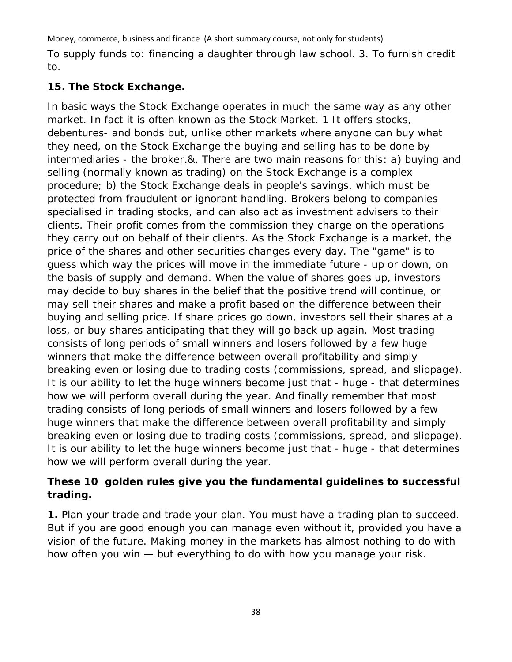To supply funds to: financing a daughter through law school. 3. To furnish credit to.

# **15. The Stock Exchange.**

In basic ways the Stock Exchange operates in much the same way as any other market. In fact it is often known as the Stock Market. 1 It offers stocks, debentures- and bonds but, unlike other markets where anyone can buy what they need, on the Stock Exchange the buying and selling has to be done by intermediaries - the broker.&. There are two main reasons for this: a) buying and selling (normally known as trading) on the Stock Exchange is a complex procedure; b) the Stock Exchange deals in people's savings, which must be protected from fraudulent or ignorant handling. Brokers belong to companies specialised in trading stocks, and can also act as investment advisers to their clients. Their profit comes from the commission they charge on the operations they carry out on behalf of their clients. As the Stock Exchange is a market, the price of the shares and other securities changes every day. The "game" is to guess which way the prices will move in the immediate future - up or down, on the basis of supply and demand. When the value of shares goes up, investors may decide to buy shares in the belief that the positive trend will continue, or may sell their shares and make a profit based on the difference between their buying and selling price. If share prices go down, investors sell their shares at a loss, or buy shares anticipating that they will go back up again. Most trading consists of long periods of small winners and losers followed by a few huge winners that make the difference between overall profitability and simply breaking even or losing due to trading costs (commissions, spread, and slippage). It is our ability to let the huge winners become just that - huge - that determines how we will perform overall during the year. And finally remember that most trading consists of long periods of small winners and losers followed by a few huge winners that make the difference between overall profitability and simply breaking even or losing due to trading costs (commissions, spread, and slippage). It is our ability to let the huge winners become just that - huge - that determines how we will perform overall during the year.

# **These 10 golden rules give you the fundamental guidelines to successful trading.**

**1.** Plan your trade and trade your plan. You must have a trading plan to succeed. But if you are good enough you can manage even without it, provided you have a vision of the future. Making money in the markets has almost nothing to do with how often you win — but everything to do with how you manage your risk.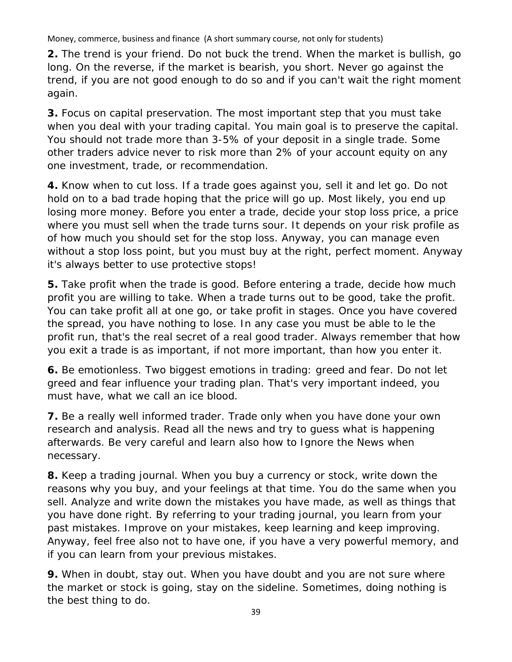**2.** The trend is your friend. Do not buck the trend. When the market is bullish, go long. On the reverse, if the market is bearish, you short. Never go against the trend, if you are not good enough to do so and if you can't wait the right moment again.

**3.** Focus on capital preservation. The most important step that you must take when you deal with your trading capital. You main goal is to preserve the capital. You should not trade more than 3-5% of your deposit in a single trade. Some other traders advice never to risk more than 2% of your account equity on any one investment, trade, or recommendation.

**4.** Know when to cut loss. If a trade goes against you, sell it and let go. Do not hold on to a bad trade hoping that the price will go up. Most likely, you end up losing more money. Before you enter a trade, decide your stop loss price, a price where you must sell when the trade turns sour. It depends on your risk profile as of how much you should set for the stop loss. Anyway, you can manage even without a stop loss point, but you must buy at the right, perfect moment. Anyway it's always better to use protective stops!

**5.** Take profit when the trade is good. Before entering a trade, decide how much profit you are willing to take. When a trade turns out to be good, take the profit. You can take profit all at one go, or take profit in stages. Once you have covered the spread, you have nothing to lose. In any case you must be able to le the profit run, that's the real secret of a real good trader. Always remember that how you exit a trade is as important, if not more important, than how you enter it.

**6.** Be emotionless. Two biggest emotions in trading: greed and fear. Do not let greed and fear influence your trading plan. That's very important indeed, you must have, what we call an ice blood.

**7.** Be a really well informed trader. Trade only when you have done your own research and analysis. Read all the news and try to guess what is happening afterwards. Be very careful and learn also how to Ignore the News when necessary.

**8.** Keep a trading journal. When you buy a currency or stock, write down the reasons why you buy, and your feelings at that time. You do the same when you sell. Analyze and write down the mistakes you have made, as well as things that you have done right. By referring to your trading journal, you learn from your past mistakes. Improve on your mistakes, keep learning and keep improving. Anyway, feel free also not to have one, if you have a very powerful memory, and if you can learn from your previous mistakes.

**9.** When in doubt, stay out. When you have doubt and you are not sure where the market or stock is going, stay on the sideline. Sometimes, doing nothing is the best thing to do.